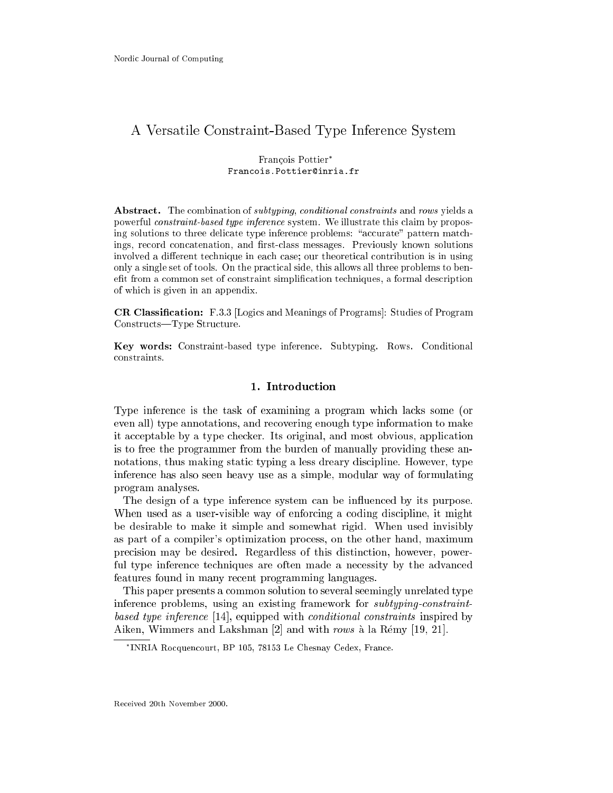# A Versatile Constraint-Based Type Inferen
e System

# François Pottier\* Francois. Pottier@inria.fr

Abstract. The combination of *subtyping, conditional constraints* and rows yields a powerful onstraint-based type inferen
e system. We illustrate this laim by proposing solutions to three delicate type inference problems: "accurate" pattern matchings, record concatenation, and first-class messages. Previously known solutions involved a different technique in each case; our theoretical contribution is in using only a single set of tools. On the practical side, this allows all three problems to benefit from a common set of constraint simplification techniques, a formal description of whi
h is given in an appendix.

CR Classification: F.3.3 [Logics and Meanings of Programs]: Studies of Program Constructs—Type Structure.

Key words: Constraint-based type inferen
e. Subtyping. Rows. Conditional constraints.

# 1. Introduction

Type inferen
e is the task of examining a program whi
h la
ks some (or even all) type annotations, and recovering enough type information to make it a

eptable by a type he
ker. Its original, and most obvious, appli
ation is to free the programmer from the burden of manually providing these annotations, thus making static typing a less dreary discipline. However, type inferen
e has also seen heavy use as a simple, modular way of formulating program analyses.

The design of a type inference system can be influenced by its purpose. When used as a user-visible way of enforcing a coding discipline, it might be desirable to make it simple and somewhat rigid. When used invisibly as part of a ompiler's optimization pro
ess, on the other hand, maximum pre
ision may be desired. Regardless of this distin
tion, however, powerful type inference techniques are often made a necessity by the advanced features found in many re
ent programming languages.

This paper presents a ommon solution to several seemingly unrelated type inferen
e problems, using an existing framework for subtypingonstraintbased type inference [14], equipped with conditional constraints inspired by Aiken, Wimmers and Lakshman  $[2]$  and with rows à la Rémy  $[19, 21]$ .

INRIA Ro
quen
ourt, BP 105, 78153 Le Chesnay Cedex, Fran
e.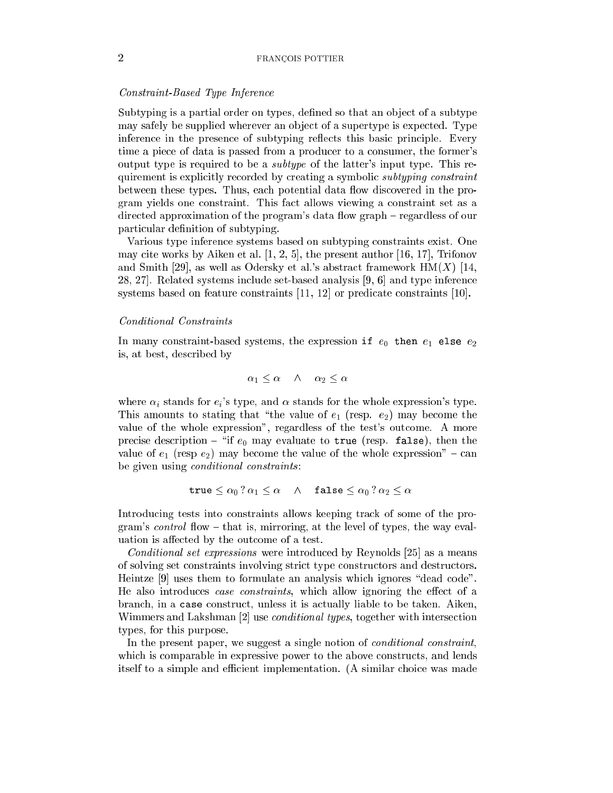# Constraint-Based Type Inferen
e

Subtyping is a partial order on types, defined so that an object of a subtype may safely be supplied wherever an object of a supertype is expected. Type inference in the presence of subtyping reflects this basic principle. Every time a pie
e of data is passed from a produ
er to a onsumer, the former's output type is required to be a subtype of the latter's input type. This requirement is explicitly recorded by creating a symbolic *subtyping constraint* between these types. Thus, each potential data flow discovered in the program yields one onstraint. This fa
t allows viewing a onstraint set as a directed approximation of the program's data flow graph – regardless of our particular definition of subtyping.

Various type inferen
e systems based on subtyping onstraints exist. One may cite works by Aiken et al.  $[1, 2, 5]$ , the present author  $[16, 17]$ , Trifonov and Smith [29], as well as Odersky et al.'s abstract framework  $HM(X)$  [14,  $28, 27$ . Related systems include set-based analysis [9, 6] and type inference systems based on feature constraints  $[11, 12]$  or predicate constraints  $[10]$ .

# *Conditional Constraints*

In many constraint-based systems, the expression if  $e_0$  then  $e_1$  else  $e_2$ is, at best, des
ribed by

$$
\alpha_1 \leq \alpha \quad \wedge \quad \alpha_2 \leq \alpha
$$

where  $\alpha_i$  stands for  $e_i$ 's type, and  $\alpha$  stands for the whole expression's type. This amounts to stating that "the value of  $e_1$  (resp.  $e_2$ ) may become the value of the whole expression", regardless of the test's outcome. A more precise description - "if  $e_0$  may evaluate to true (resp. false), then the value of  $e_1$  (resp  $e_2$ ) may become the value of the whole expression" - can be given using *conditional constraints*:

$$
\mathtt{true}\leq \alpha_0\ ?\ \alpha_1\leq \alpha\quad\land\quad\mathtt{false}\leq \alpha_0\ ?\ \alpha_2\leq \alpha
$$

Introdu
ing tests into onstraints allows keeping tra
k of some of the program's *control* flow  $-$  that is, mirroring, at the level of types, the way evaluation is affected by the outcome of a test.

*Conditional set expressions* were introduced by Reynolds  $[25]$  as a means of solving set onstraints involving stri
t type onstru
tors and destru
tors. Heintze  $[9]$  uses them to formulate an analysis which ignores "dead code". He also introduces case constraints, which allow ignoring the effect of a branch, in a case construct, unless it is actually liable to be taken. Aiken, Wimmers and Lakshman [2] use *conditional types*, together with intersection types, for this purpose.

In the present paper, we suggest a single notion of *conditional constraint*, which is comparable in expressive power to the above constructs, and lends itself to a simple and efficient implementation. (A similar choice was made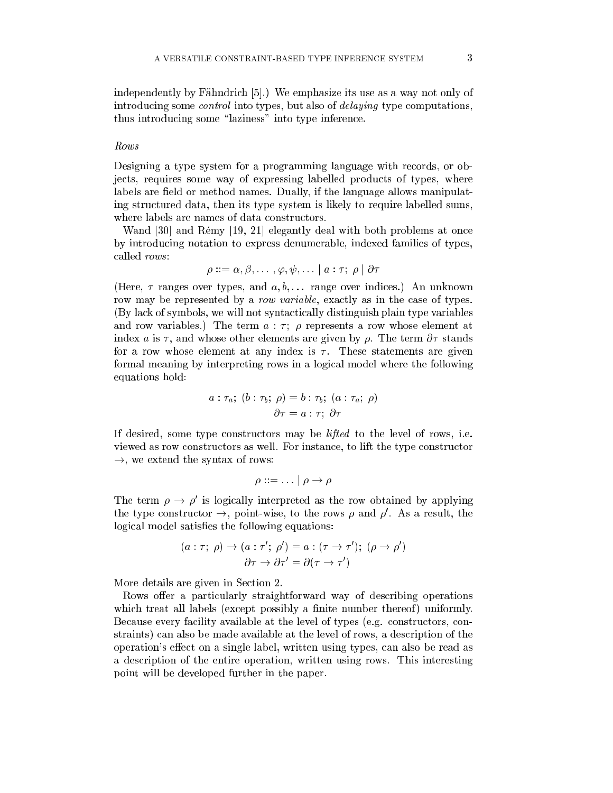independently by Fähndrich [5].) We emphasize its use as a way not only of introducing some *control* into types, but also of *delaying* type computations, thus introducing some "laziness" into type inference.

Designing a type system for a programming language with records, or objects, requires some way of expressing labelled products of types, where labels are field or method names. Dually, if the language allows manipulating stru
tured data, then its type system is likely to require labelled sums, where labels are names of data constructors.

Wand  $[30]$  and Rémy  $[19, 21]$  elegantly deal with both problems at once by introdu
ing notation to express denumerable, indexed families of types, called *rows*:

$$
\rho ::= \alpha, \beta, \ldots\,, \varphi, \psi, \ldots \mid a : \tau; \; \rho \mid \partial \tau
$$

(Here,  $\tau$  ranges over types, and  $a, b, \ldots$  range over indices.) An unknown row may be represented by a *row variable*, exactly as in the case of types. (By la
k of symbols, we will not synta
ti
ally distinguish plain type variables and row variables.) The term  $a : \tau$ ;  $\rho$  represents a row whose element at index a is  $\tau$ , and whose other elements are given by  $\rho$ . The term  $\partial \tau$  stands for a row whose element at any index is  $\tau$ . These statements are given formal meaning by interpreting rows in a logi
al model where the following equations hold:

$$
a : \tau_a; (b : \tau_b; \rho) = b : \tau_b; (a : \tau_a; \rho)
$$

$$
\partial \tau = a : \tau; \partial \tau
$$

If desired, some type onstru
tors may be lifted to the level of rows, i.e. viewed as row onstru
tors as well. For instan
e, to lift the type onstru
tor  $\rightarrow$ , we extend the syntax of rows:

$$
\rho ::= \ldots | \rho \to \rho
$$

The term  $\rho \to \rho$  is logically interpreted as the row obtained by applying the type constructor  $\rightarrow$ , point-wise, to the rows  $\rho$  and  $\rho$ . As a result, the logical model satisfies the following equations:

$$
(a : \tau; \rho) \to (a : \tau'; \rho') = a : (\tau \to \tau'); (\rho \to \rho')
$$

$$
\partial \tau \to \partial \tau' = \partial (\tau \to \tau')
$$

More details are given in Section 2.

Rows offer a particularly straightforward way of describing operations which treat all labels (except possibly a finite number thereof) uniformly. Because every facility available at the level of types (e.g. constructors, constraints) an also be made available at the level of rows, a des
ription of the operation's effect on a single label, written using types, can also be read as a des
ription of the entire operation, written using rows. This interesting point will be developed further in the paper.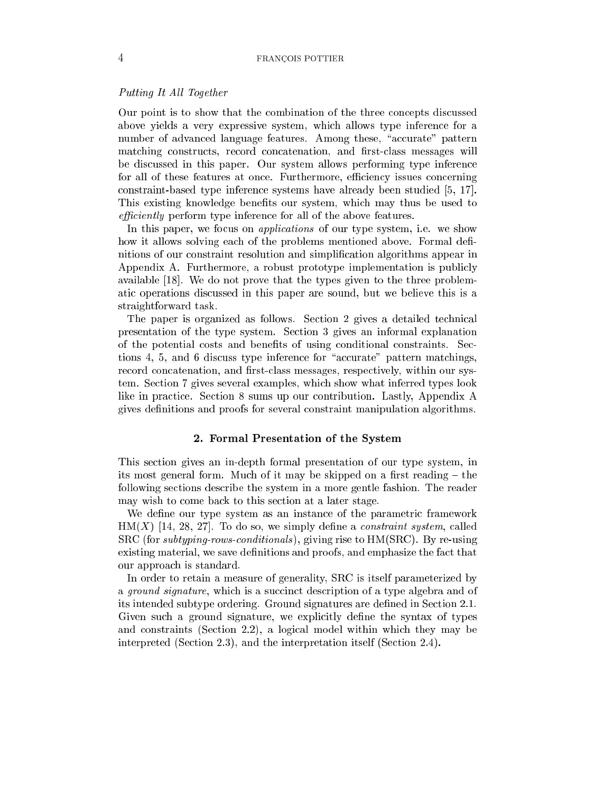# Putting It All Together

Our point is to show that the combination of the three concepts discussed above yields a very expressive system, whi
h allows type inferen
e for a number of advanced language features. Among these, "accurate" pattern matching constructs, record concatenation, and first-class messages will be dis
ussed in this paper. Our system allows performing type inferen
e for all of these features at once. Furthermore, efficiency issues concerning constraint-based type inference systems have already been studied [5, 17]. This existing knowledge benefits our system, which may thus be used to efficiently perform type inference for all of the above features.

In this paper, we focus on *applications* of our type system, i.e. we show how it allows solving each of the problems mentioned above. Formal definitions of our constraint resolution and simplification algorithms appear in Appendix A. Furthermore, a robust prototype implementation is publi
ly available  $[18]$ . We do not prove that the types given to the three problemati operations dis
ussed in this paper are sound, but we believe this is a straightforward task.

The paper is organized as follows. Section 2 gives a detailed technical presentation of the type system. Se
tion 3 gives an informal explanation of the potential costs and benefits of using conditional constraints. Sections 4, 5, and 6 discuss type inference for "accurate" pattern matchings, record concatenation, and first-class messages, respectively, within our system. Se
tion 7 gives several examples, whi
h show what inferred types look like in practice. Section 8 sums up our contribution. Lastly, Appendix A gives denitions and proofs for several onstraint manipulation algorithms.

#### 2. Formal Presentation of the System

This se
tion gives an in-depth formal presentation of our type system, in its most general form. Much of it may be skipped on a first reading  $-$  the following se
tions des
ribe the system in a more gentle fashion. The reader may wish to come back to this section at a later stage.

We define our type system as an instance of the parametric framework  $HM(X)$  [14, 28, 27]. To do so, we simply define a *constraint system*, called SRC (for subtyping-rowsonditionals ), giving rise to HM(SRC). By re-using existing material, we save definitions and proofs, and emphasize the fact that our approa
h is standard.

In order to retain a measure of generality, SRC is itself parameterized by a *ground signature*, which is a succinct description of a type algebra and of its intended subtype ordering. Ground signatures are defined in Section 2.1. Given such a ground signature, we explicitly define the syntax of types and onstraints (Se
tion 2.2), a logi
al model within whi
h they may be interpreted (Section 2.3), and the interpretation itself (Section 2.4).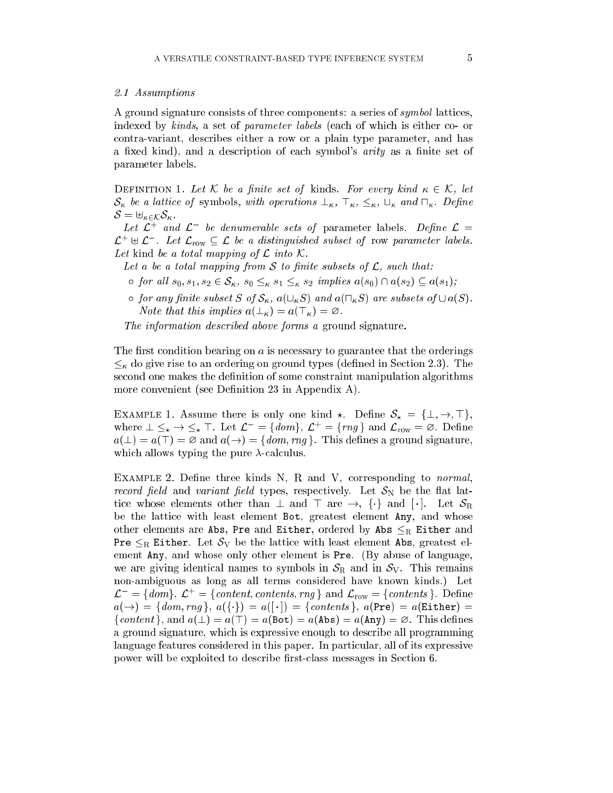# 2.1 Assumptions

A ground signature consists of three components: a series of *symbol* lattices, indexed by kinds, a set of parameter labels (each of which is either co- or ontra-variant, des
ribes either a row or a plain type parameter, and has a fixed kind), and a description of each symbol's *arity* as a finite set of parameter labels.

DEFINITION 1. Let K be a finite set of kinds. For every kind  $\kappa \in \mathcal{K}$ , let  $\mathcal{S}_{\kappa}$  be a lattice of symbols, with operations  $\perp_{\kappa}$ ,  $\top_{\kappa}$ ,  $\leq_{\kappa}$ ,  $\sqcup_{\kappa}$  and  $\sqcap_{\kappa}$ . Define  $\mathcal{S} = \biguplus_{\kappa \in \mathcal{K}} \mathcal{S}_{\kappa}$ .

Let  $L$  and  $L$  be denumerable sets of parameter labels. Define  $L =$  $\mathcal{L}^+ \oplus \mathcal{L}^-$  . Let  $\mathcal{L}_{\text{row}} \subseteq \mathcal{L}$  be a ansunguished subset of row parameter labels. Let kind be a total mapping of  $\mathcal L$  into  $\mathcal K$ .

Let a be a total mapping from S to finite subsets of  $\mathcal{L}$ , such that:

- $\circ$  for all  $s_0, s_1, s_2 \in S_\kappa$ ,  $s_0 \leq_{\kappa} s_1 \leq_{\kappa} s_2$  implies  $a(s_0) \cap a(s_2) \subseteq a(s_1);$
- $\circ$  for any finite subset S of  $\mathcal{S}_{\kappa}$ ,  $a(\sqcup_{\kappa} S)$  and  $a(\sqcap_{\kappa} S)$  are subsets of  $\cup a(S)$ . Note that this implies  $a(\perp_{\kappa}) = a(\top_{\kappa}) = \varnothing$ .

The information described above forms a ground signature.

The first condition bearing on  $\alpha$  is necessary to guarantee that the orderings  $\leq_{\kappa}$  do give rise to an ordering on ground types (defined in Section 2.3). The second one makes the definition of some constraint manipulation algorithms more convenient (see Definition 23 in Appendix A).

EXAMPLE 1. Assume there is only one kind  $\star$ . Define  $S_{\star} = {\{\perp, \rightarrow, \top\}}$ , where  $\perp \leq_{\star} \to \leq_{\star} \perp$ . Let  $\mathcal{L}^- = \{dom\}, \mathcal{L}^+ = \{rng\}$  and  $\mathcal{L}_{row} = \emptyset$ . Define  $a(\perp) = a(\top) = \emptyset$  and  $a(\rightarrow) = \{dom, rng\}$ . This defines a ground signature, which allows typing the pure  $\lambda$ -calculus.

EXAMPLE 2. Define three kinds  $N$ , R and V, corresponding to *normal*, record field and variant field types, respectively. Let  $S_N$  be the flat lattice whose elements other than  $\perp$  and  $\perp$  are  $\rightarrow$ ,  $\{\cdot\}$  and  $[\cdot]$ . Let  $S_R$ be the lattice with least element Bot, greatest element Any, and whose other elements are Abs, Pre and Either, ordered by Abs  $\leq_R$  Either and Pre  $\leq_R$  Either. Let  $S_V$  be the lattice with least element Abs, greatest element Any, and whose only other element is Pre. (By abuse of language, we are giving identical names to symbols in  $S_R$  and in  $S_V$ . This remains non-ambiguous as long as all terms onsidered have known kinds.) Let  $\mathcal{L}^- = \{dom\}, \mathcal{L}^+ = \{content, contents, rng\}$  and  $\mathcal{L}_{row} = \{contents\}.$  Define  $a(\rightarrow) = \{dom, rng\}, a(\{\cdot\}) = a([-]) = \{contents\}, a(Pre) = a(Either) =$ {content}, and  $a(\perp) = a(\top) = a(\text{Bot}) = a(\text{Abs}) = a(\text{Any}) = \emptyset$ . This defines a ground signature, whi
h is expressive enough to des
ribe all programming language features onsidered in this paper. In parti
ular, all of its expressive power will be exploited to describe first-class messages in Section 6.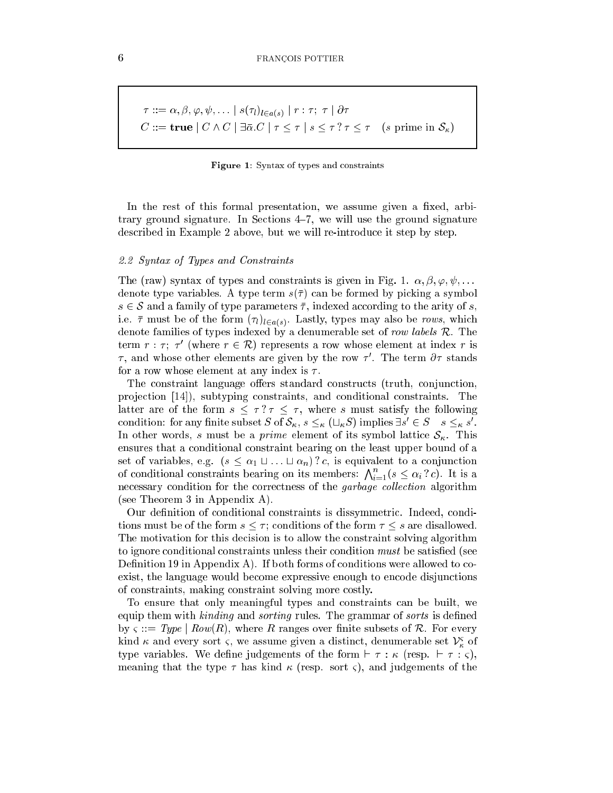$$
\tau ::= \alpha, \beta, \varphi, \psi, \dots | s(\tau_l)_{l \in a(s)} | r : \tau; \tau | \partial \tau
$$
  

$$
C ::= \mathbf{true} | C \wedge C | \exists \bar{\alpha}. C | \tau \leq \tau | s \leq \tau ? \tau \leq \tau \quad (s \text{ prime in } \mathcal{S}_\kappa)
$$

Figure 1: Syntax of types and onstraints

In the rest of this formal presentation, we assume given a fixed, arbitrary ground signature. In Sections  $4-7$ , we will use the ground signature des
ribed in Example 2 above, but we will re-introdu
e it step by step.

# 2.2 Syntax of Types and Constraints

The (raw) syntax of types and constraints is given in Fig. 1.  $\alpha, \beta, \varphi, \psi, \ldots$ denote type variables. A type term  $s(\bar{\tau})$  can be formed by picking a symbol  $s \in \mathcal{S}$  and a family of type parameters  $\bar{\tau}$ , indexed according to the arity of s, i.e. i.e. i.e. i.e. i.e. i.e. the form (i))] . Lastly, which is the rows, which is the rows, which is denote families of types indexed by a denumerable set of row labels R. The term  $r : \tau$ ;  $\tau$  (where  $r \in \mathcal{R}$ ) represents a row whose element at index r is  $\tau$ , and whose other elements are given by the row  $\tau$  . The term  $\rho\tau$  stands for a row whose element at any index is  $\tau$ .

The constraint language offers standard constructs (truth, conjunction, projection [14]), subtyping constraints, and conditional constraints. The latter are of the form  $s < \tau$ ?  $\tau < \tau$ , where s must satisfy the following condition: for any finite subset S of  $S_{\kappa}$ ,  $s \leq_{\kappa} (\sqcup_{\kappa} S)$  implies  $\exists s \in S \quad s \leq_{\kappa} s$ . In other words, s must be a *prime* element of its symbol lattice  $S_{\kappa}$ . This ensures that a onditional onstraint bearing on the least upper bound of a set of variables, e.g.  $(s \leq \alpha_1 \sqcup ... \sqcup \alpha_n)$ ? c, is equivalent to a conjunction of conditional constraints bearing on its members:  $\bigwedge_{i=1}^{n} (s \leq \alpha_i ? c)$ . It is a necessary condition for the correctness of the *garbage collection* algorithm (see Theorem 3 in Appendix A).

Our definition of conditional constraints is dissymmetric. Indeed, conditions must be of the form  $s \leq \tau$ ; conditions of the form  $\tau \leq s$  are disallowed. The motivation for this decision is to allow the constraint solving algorithm to ignore conditional constraints unless their condition *must* be satisfied (see Definition 19 in Appendix A). If both forms of conditions were allowed to coexist, the language would become expressive enough to encode disjunctions of onstraints, making onstraint solving more ostly.

To ensure that only meaningful types and onstraints an be built, we equip them with kinding and sorting rules. The grammar of sorts is defined by  $\varsigma ::= Type \mid Row(R)$ , where R ranges over finite subsets of R. For every kind  $\kappa$  and every sort  $\varsigma,$  we assume given a distinct, denumerable set  $\nu_{\kappa}^{\downarrow}$  of type variables. We define judgements of the form  $\vdash \tau : \kappa$  (resp.  $\vdash \tau : \varsigma$ ), meaning that the type  $\tau$  has kind  $\kappa$  (resp. sort  $\zeta$ ), and judgements of the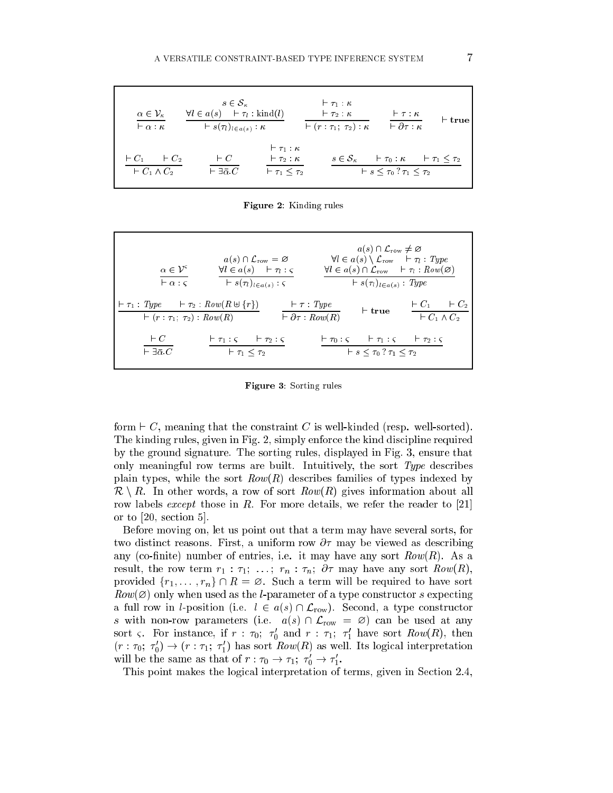| $\alpha \in \mathcal{V}_\kappa$<br>$\vdash \alpha : \kappa$ | $s \in \mathcal{S}_{\kappa}$<br>$\forall l \in a(s) \quad \vdash \tau_l : \text{kind}(l)$<br>$\vdash s(\tau_l)_{l\in a(s)}:\kappa$ |                                                                                     | $\vdash \tau_1 : \kappa$<br>$\vdash \tau_2 : \kappa$<br>$\vdash (r : \tau_1; \tau_2) : \kappa$ | $\vdash \tau : \kappa$<br>$\vdash \partial \tau : \kappa$                                                             | $\vdash$ true |
|-------------------------------------------------------------|------------------------------------------------------------------------------------------------------------------------------------|-------------------------------------------------------------------------------------|------------------------------------------------------------------------------------------------|-----------------------------------------------------------------------------------------------------------------------|---------------|
| $\vdash C_1 \qquad \vdash C_2$<br>$\vdash C_1 \wedge C_2$   | $\vdash C$<br>$\vdash \exists \bar{\alpha} . C$                                                                                    | $\vdash \tau_1 : \kappa$<br>$\vdash \tau_2 : \kappa$<br>$\vdash \tau_1 \leq \tau_2$ |                                                                                                | $s \in \mathcal{S}_{\kappa}$ $\vdash \tau_0 : \kappa$ $\vdash \tau_1 \leq \tau_2$<br>$+ s < \tau_0 ? \tau_1 < \tau_2$ |               |

Figure 2: Kinding rules

| $\alpha \in \mathcal{V}^s$<br>$\vdash \alpha : \varsigma$                                                   | $a(s) \cap \mathcal{L}_{\text{row}} = \varnothing$<br>$\forall l \in a(s)$ $\vdash \tau_l : \varsigma$<br>$\vdash s(\tau_l)_{l\in a(s)}$ : $\varsigma$ |                                                         | $a(s) \cap \mathcal{L}_{\text{row}} \neq \varnothing$<br>$\forall l \in a(s) \setminus \mathcal{L}_{\text{row}} \quad \vdash \tau_l : Type$<br>$\forall l \in a(s) \cap \mathcal{L}_{\text{row}} \quad \vdash \tau_l : Row(\varnothing)$<br>$\vdash s(\tau_l)_{l\in a(s)}$ : Type |                                                              |
|-------------------------------------------------------------------------------------------------------------|--------------------------------------------------------------------------------------------------------------------------------------------------------|---------------------------------------------------------|-----------------------------------------------------------------------------------------------------------------------------------------------------------------------------------------------------------------------------------------------------------------------------------|--------------------------------------------------------------|
| $\vdash \tau_1 : Type \qquad \vdash \tau_2 : Row(R \uplus \{r\})$<br>$\vdash (r : \tau_1; \tau_2) : Row(R)$ |                                                                                                                                                        | $\vdash \tau : Type$<br>$\vdash \partial \tau : Row(R)$ | $\vdash$ true                                                                                                                                                                                                                                                                     | $\vdash C_2$<br>$\vdash C_1$<br>$\overline{+C_1 \wedge C_2}$ |
| $\vdash C$<br>$\vdash \exists \bar{\alpha} . C$                                                             | $\vdash \tau_1 : \varsigma \qquad \vdash \tau_2 : \varsigma$<br>$\vdash \tau_1 \leq \tau_2$                                                            |                                                         | $\vdash \tau_0 : \zeta \quad \vdash \tau_1 : \zeta \quad \vdash \tau_2 : \zeta$<br>$+ s < \tau_0 ? \tau_1 < \tau_2$                                                                                                                                                               |                                                              |

Figure 3: Sorting rules

form  $\vdash C$ , meaning that the constraint C is well-kinded (resp. well-sorted). The kinding rules, given in Fig. 2, simply enforce the kind discipline required by the ground signature. The sorting rules, displayed in Fig. 3, ensure that only meaningful row terms are built. Intuitively, the sort Type describes plain types, while the sort  $Row(R)$  describes families of types indexed by  $\mathcal{R} \setminus R$ . In other words, a row of sort  $Row(R)$  gives information about all row labels *except* those in R. For more details, we refer the reader to [21] or to  $[20, \text{ section } 5]$ .

Before moving on, let us point out that a term may have several sorts, for two distinct reasons. First, a uniform row  $\partial \tau$  may be viewed as describing any (co-finite) number of entries, i.e. it may have any sort  $Row(R)$ . As a result, the row term  $r_1 : \tau_1; \ldots; r_n : \tau_n; \partial \tau$  may have any sort  $Row(R)$ , provided  $\{r_1, \ldots, r_n\} \cap R = \emptyset$ . Such a term will be required to have sort  $Row(\emptyset)$  only when used as the *l*-parameter of a type constructor s expecting a full row in *l*-position (i.e.  $l \in a(s) \cap \mathcal{L}_{row}$ ). Second, a type constructor s with non-row parameters (i.e.  $a(s) \cap \mathcal{L}_{row} = \emptyset$ ) can be used at any sort  $\varsigma$ . For instance, if  $r$  :  $\tau_0;$   $\tau_0$  and  $r$  :  $\tau_1;$   $\tau_1$  nave sort  $\kappa \omega w(\kappa)$ , then  $(r:\tau_0;\;\tau_0)\rightarrow (r:\tau_1;\;\tau_1)$  has sort  $\mathit{now}(R)$  as well. Its logical interpretation will be the same as that of  $r : \tau_0 \to \tau_1; \ \tau_0 \to \tau_1.$ 

This point makes the logical interpretation of terms, given in Section 2.4,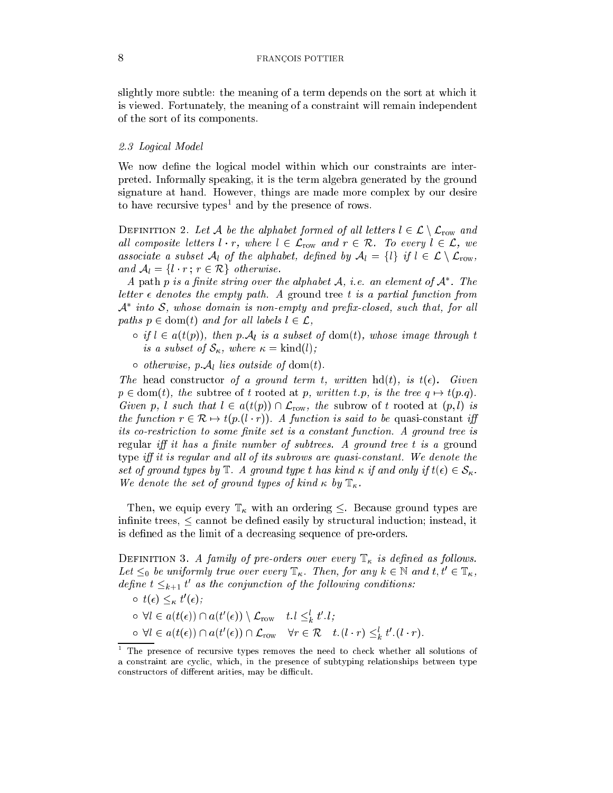slightly more subtle: the meaning of a term depends on the sort at which it is viewed. Fortunately, the meaning of a onstraint will remain independent of the sort of its omponents.

#### 2.3 Logi
al Model

We now define the logical model within which our constraints are interpreted. Informally speaking, it is the term algebra generated by the ground signature at hand. However, things are made more complex by our desire to have recursive types and by the presence of rows.

DEFINITION 2. Let A be the alphabet formed of all letters  $l \in \mathcal{L} \setminus \mathcal{L}_{\text{row}}$  and all composite letters  $l \cdot r$ , where  $l \in \mathcal{L}_{row}$  and  $r \in \mathcal{R}$ . To every  $l \in \mathcal{L}$ , we associate a subset  $\mathcal{A}_l$  of the alphabet, defined by  $\mathcal{A}_l = \{l\}$  if  $l \in \mathcal{L} \setminus \mathcal{L}_{\text{row}}$ , and  $A_l = \{l \cdot r : r \in \mathcal{R}\}\$  otherwise.

A path  $p$  is a finite string over the alphabet  $\mathcal{A}, \ i.e.$  an element of  $\mathcal{A}$  . The letter  $\epsilon$  denotes the empty path. A ground tree t is a partial function from  ${\cal A}$  -into  ${\cal S}$ , whose aomain is non-empty and prepx-closed, such that, for all paths  $p \in \text{dom}(t)$  and for all labels  $l \in \mathcal{L}$ ,

- $\sigma$  if  $l \in a(t(p))$ , then p.  $\mathcal{A}_l$  is a subset of dom(t), whose image through t is a subset of  $S_{\kappa}$ , where  $\kappa = \text{kind}(l)$ ;
- $\circ$  otherwise, p.  $\mathcal{A}_l$  lies outside of dom(t).

The head constructor of a ground term t, written hd(t), is  $t(\epsilon)$ . Given  $p \in \text{dom}(t)$ , the subtree of t rooted at p, written t.p, is the tree  $q \mapsto t(p.q)$ . Given p, l such that  $l \in a(t(p)) \cap \mathcal{L}_{row}$ , the subrow of t rooted at  $(p, l)$  is the function  $r \in \mathcal{R} \mapsto t(p_{\cdot}(l \cdot r))$ . A function is said to be quasi-constant iff its co-restriction to some finite set is a constant function. A ground tree is regular iff it has a finite number of subtrees. A ground tree t is a ground type iff it is regular and all of its subrows are quasi-constant. We denote the set of ground types by  $\mathbb{T}$ . A ground type t has kind  $\kappa$  if and only if  $t(\epsilon) \in \mathcal{S}_{\kappa}$ . We denote the set of ground types of kind  $\kappa$  by  $\mathbb{T}_{\kappa}$ .

Then, we equip every  $\mathbb{T}_{\kappa}$  with an ordering  $\leq$ . Because ground types are infinite trees,  $\leq$  cannot be defined easily by structural induction; instead, it is defined as the limit of a decreasing sequence of pre-orders.

DEFINITION 3. A family of pre-orders over every  $\mathbb{T}_{\kappa}$  is defined as follows. Let  $\leq_0$  be uniformly true over every  $\mathbb{I}_\kappa$ . Then, for any  $\kappa \in \mathbb{N}$  and  $t, t \in \mathbb{I}_\kappa$ ,  $a$ enne  $t \leq_{k+1} t$  as the conjunction of the following conditions:

- $0 \t l(\epsilon) \leq_{\kappa} t(\epsilon)$ ;
- $\circ \forall t \in a(t(\epsilon)) \cap a(t(\epsilon)) \setminus \mathcal{L}_{\text{row}} \quad t \cdot t \leq_k t \cdot t;$  $\circ \forall t \in a(t(\epsilon)) \sqcup a(t(\epsilon)) \sqcup \mathcal{L}_{\text{row}} \quad \forall r \in \mathcal{K} \quad t, (t \cdot r) \leq k \cdot (t \cdot r).$

The presence of recursive types removes the need to check whether all solutions of a constraint are cyclic, which, in the presence of subtyping relationships between type constructors of different arities, may be difficult.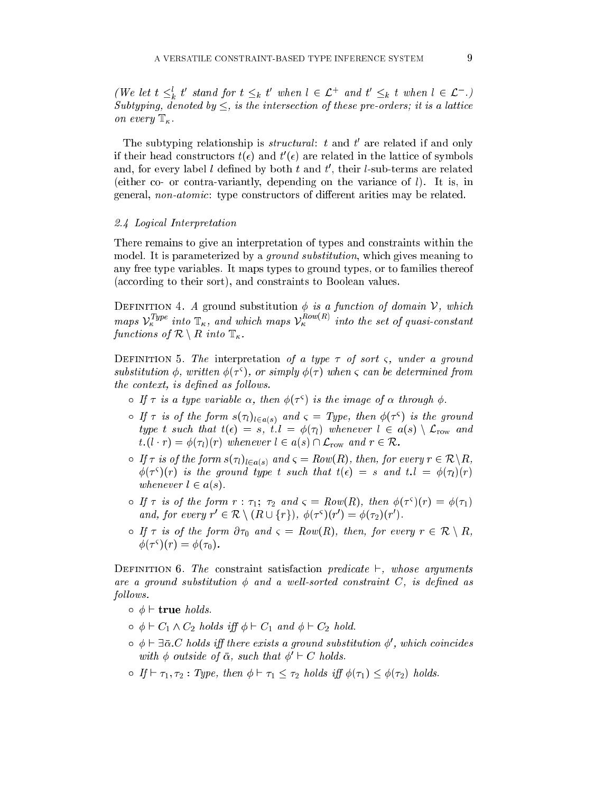(we let  $t \leq_k t$  stand for  $t \leq_k t$  when  $t \in \mathcal{L}^+$  and  $t \leq_k t$  when  $t \in \mathcal{L}^+$ .) Subtyping, denoted by , is the interse
tion of these pre-orders; it is a latti
e on every  $\mathbb{T}_{\kappa}$ .

The subtyping relationship is *structural*: t and t are related if and only If their nead constructors  $\iota(\epsilon)$  and  $\iota$  ( $\epsilon$ ) are related in the lattice of symbols and, for every fabel  $t$  defined by both  $t$  and  $t$  , their  $t$ -sub-terms are related (either co- or contra-variantly, depending on the variance of  $l$ ). It is, in general, *non-atomic*: type constructors of different arities may be related.

#### 2.4 Logical Interpretation

There remains to give an interpretation of types and onstraints within the model. It is parameterized by a *ground substitution*, which gives meaning to any free type variables. It maps types to ground types, or to families thereof (according to their sort), and constraints to Boolean values.

DEFINITION 4. A ground substitution  $\phi$  is a function of domain  $\mathcal{V}$ , which maps  $V_6^{s}$  is anternatively maps  $V_6^{r}$  and  $V_7^{r}$  into the set of quasi-constant functions of  $\mathcal{R} \setminus R$  into  $\mathbb{T}_{\kappa}$ .

DEFINITION 5. The interpretation of a type  $\tau$  of sort  $\varsigma$ , under a ground substitution  $\varphi$ , written  $\varphi(\tau)$ , or simply  $\varphi(\tau)$  when  $\zeta$  can be determined from the context, is defined as follows.

- $\circ$  if  $\tau$  is a type variable  $\alpha$ , then  $\phi$ ( $\tau$ ) is the image of  $\alpha$  through  $\phi$ .
- $\sim$  11  $\tau$  is of the form  $s(\tau_l)_{l \in a(s)}$  and  $\varsigma =$  1ype, then  $\varphi(\tau^{\gamma})$  is the ground type t such that  $t(\epsilon) = s$ ,  $t.l = \phi(\tau_l)$  whenever  $l \in a(s) \setminus \mathcal{L}_{row}$  and  $t.(l \cdot r) = \phi(\tau_l)(r)$  whenever  $l \in a(s) \cap \mathcal{L}_{row}$  and  $r \in \mathcal{R}$ .
- $\mathcal{F}_{\bm{y}}$  is of the form s(l) in the form s(  $\mathcal{F}_{\bm{x}}$  resolution ( $\mathcal{F}_{\bm{y}}$ ),  $\mathcal{F}_{\bm{x}}$  r  $\mathcal{F}_{\bm{x}}$  ( $\mathcal{F}_{\bm{y}}$ ),  $\mathcal{F}_{\bm{x}}$  $\varphi(\tau^*)$ (r) is the ground type t such that  $\iota(\epsilon) \,=\, s$  and  $\iota.\iota \,=\, \varphi(\tau_l)(r)$ whenever  $l \in a(s)$ .
- $\circ$  if  $\tau$  is of the form  $r : \tau_1$ ;  $\tau_2$  and  $\varsigma = \kappa_0 w(R)$ , then  $\varphi(\tau^*)$  $(r) = \varphi(\tau_1)$ and, for every  $r \in \mathcal{R} \setminus (R \cup \{r\})$ ,  $\varphi(\tau^2)(r) = \varphi(\tau_2)(r)$ .
- $\circ$  If  $\tau$  is of the form  $\partial \tau_0$  and  $\varsigma = Row(R)$ , then, for every  $r \in \mathcal{R} \setminus R$ ,  $\varphi(\tau^{\prime})$  $(\tau) = \varphi(\tau_0)$ .

DEFINITION 6. The constraint satisfaction predicate  $\vdash$ , whose arguments are a ground substitution  $\phi$  and a well-sorted constraint C, is defined as follows.

- $\circ \phi \vdash \textbf{true} holds.$
- $\circ \phi \vdash C_1 \wedge C_2$  holds iff  $\phi \vdash C_1$  and  $\phi \vdash C_2$  hold.
- $\circ$   $\varphi \vdash \exists \alpha \ldotp \cup$  notas i $\eta$  there exists a ground substitution  $\varphi$ , which coincides with  $\varphi$  outside of  $\alpha$ , such that  $\varphi \ \sqsubset \ \cup$  holds.
- $\circ$  If  $\vdash \tau_1, \tau_2$ : Type, then  $\phi \vdash \tau_1 \leq \tau_2$  holds iff  $\phi(\tau_1) \leq \phi(\tau_2)$  holds.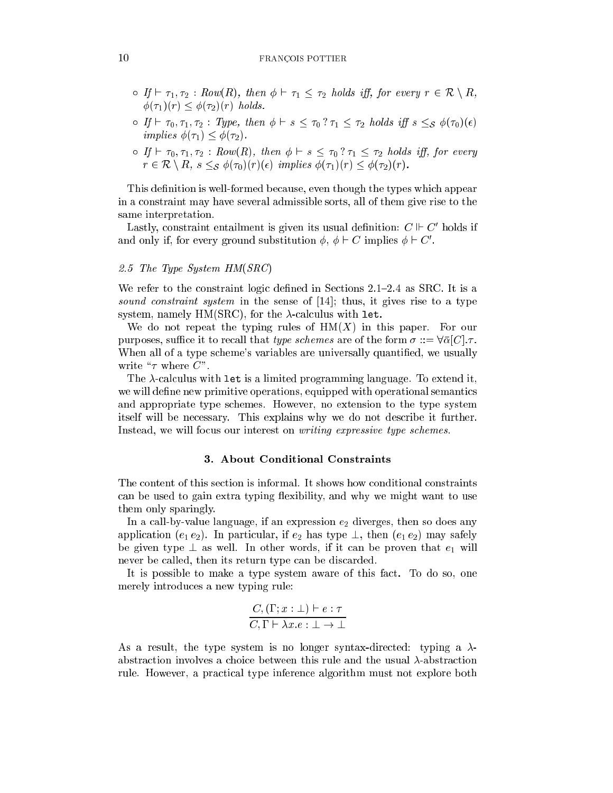- $\sigma$  If  $\vdash \tau_1, \tau_2 : Row(R)$ , then  $\phi \vdash \tau_1 \leq \tau_2$  holds iff, for every  $r \in \mathcal{R} \setminus R$ ,  $\phi(\tau_1)(r) \leq \phi(\tau_2)(r)$  holds.
- $\sigma$  If  $\vdash \tau_0, \tau_1, \tau_2$  : Type, then  $\phi \vdash s \leq \tau_0 ? \tau_1 \leq \tau_2$  holds iff  $s \leq s \phi(\tau_0)(\epsilon)$ implies  $\phi(\tau_1) \leq \phi(\tau_2)$ .
- $\sigma$  If  $\vdash \tau_0, \tau_1, \tau_2 : Row(R)$ , then  $\phi \vdash s \leq \tau_0 ? \tau_1 \leq \tau_2$  holds iff, for every  $r \in \mathcal{R} \setminus R$ ,  $s \leq_{\mathcal{S}} \phi(\tau_0)(r)(\epsilon)$  implies  $\phi(\tau_1)(r) \leq \phi(\tau_2)(r)$ .

This definition is well-formed because, even though the types which appear in a onstraint may have several admissible sorts, all of them give rise to the same interpretation.

 $_{\rm{Lasely,~constraint~entainent~is~given~its~usual~denution:~C~\sqcap~Co~noias~in}$ and only if, for every ground substitution  $\varphi, \varphi \vdash C$  implies  $\varphi \vdash C$ .

# 2.5 The Type System HM(SRC)

We refer to the constraint logic defined in Sections  $2.1{\text -}2.4$  as SRC. It is a sound constraint system in the sense of  $[14]$ ; thus, it gives rise to a type system, namely HM(SRC), for the  $\lambda$ -calculus with let.

We do not repeat the typing rules of  $HM(X)$  in this paper. For our purposes, suffice it to recall that *type schemes* are of the form  $\sigma ::= \forall \bar{\alpha}[C], \tau$ . When all of a type scheme's variables are universally quantified, we usually write " $\tau$  where  $C$ ".

The  $\lambda$ -calculus with let is a limited programming language. To extend it, we will define new primitive operations, equipped with operational semantics and appropriate type s
hemes. However, no extension to the type system itself will be ne
essary. This explains why we do not des
ribe it further. Instead, we will focus our interest on *writing expressive type schemes*.

#### 3. About Conditional Constraints

The ontent of this se
tion is informal. It shows how onditional onstraints can be used to gain extra typing flexibility, and why we might want to use them only sparingly.

In a call-by-value language, if an expression  $e_2$  diverges, then so does any application  $(e_1 e_2)$ . In particular, if  $e_2$  has type  $\perp$ , then  $(e_1 e_2)$  may safely be given type  $\perp$  as well. In other words, if it can be proven that  $e_1$  will never be called, then its return type can be discarded.

It is possible to make a type system aware of this fa
t. To do so, one merely introdu
es a new typing rule:

$$
\frac{C, (\Gamma; x : \bot) \vdash e : \tau}{C, \Gamma \vdash \lambda x. e : \bot \rightarrow \bot}
$$

As a result, the type system is no longer syntax-directed: typing a  $\lambda$ abstraction involves a choice between this rule and the usual  $\lambda$ -abstraction rule. However, a pra
ti
al type inferen
e algorithm must not explore both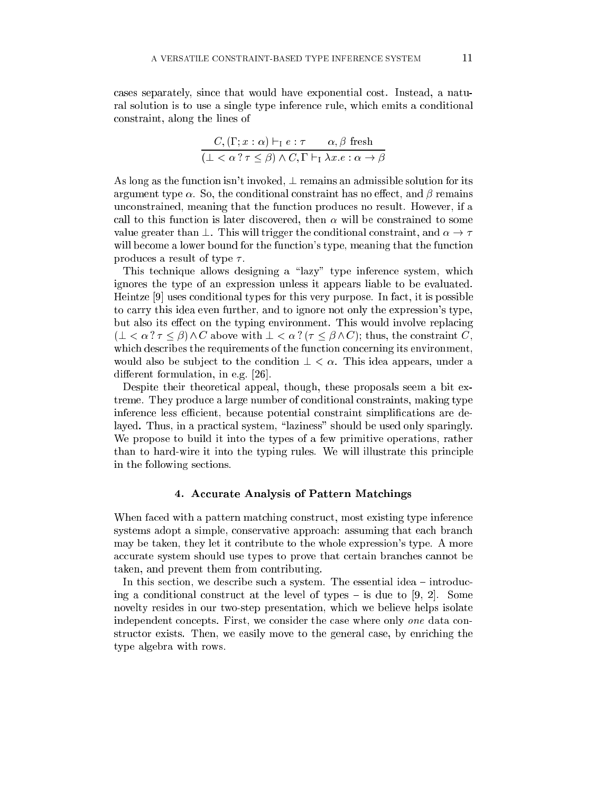cases separately, since that would have exponential cost. Instead, a natural solution is to use a single type inferen
e rule, whi
h emits a onditional onstraint, along the lines of

$$
\frac{C, (\Gamma; x : \alpha) \vdash_{\Gamma} e : \tau \qquad \alpha, \beta \text{ fresh}}{(\bot \langle \alpha \rangle \tau \leq \beta) \land C, \Gamma \vdash_{\Gamma} \lambda x. e : \alpha \to \beta}
$$

As long as the function isn't invoked,  $\perp$  remains an admissible solution for its argument type  $\alpha$ . So, the conditional constraint has no effect, and  $\beta$  remains un
onstrained, meaning that the fun
tion produ
es no result. However, if a call to this function is later discovered, then  $\alpha$  will be constrained to some value greater than  $\perp$ . This will trigger the conditional constraint, and  $\alpha \to \tau$ will become a lower bound for the function's type, meaning that the function produces a result of type  $\tau$ .

This technique allows designing a "lazy" type inference system, which ignores the type of an expression unless it appears liable to be evaluated. Heintze  $[9]$  uses conditional types for this very purpose. In fact, it is possible to arry this idea even further, and to ignore not only the expression's type, but also its effect on the typing environment. This would involve replacing  $(\bot \langle \alpha \rangle \tau \leq \beta) \wedge C$  above with  $\bot \langle \alpha \rangle \tau \leq \beta \wedge C$ ; thus, the constraint C, which describes the requirements of the function concerning its environment, would also be subject to the condition  $\perp < \alpha$ . This idea appears, under a different formulation, in e.g.  $[26]$ .

Despite their theoretical appeal, though, these proposals seem a bit extreme. They produ
e a large number of onditional onstraints, making type inference less efficient, because potential constraint simplifications are delayed. Thus, in a practical system, "laziness" should be used only sparingly. We propose to build it into the types of a few primitive operations, rather than to hard-wire it into the typing rules. We will illustrate this prin
iple in the following se
tions.

#### 4. Accurate Analysis of Pattern Matchings

When faced with a pattern matching construct, most existing type inference systems adopt a simple, conservative approach: assuming that each branch may be taken, they let it ontribute to the whole expression's type. A more accurate system should use types to prove that certain branches cannot be taken, and prevent them from ontributing.

In this section, we describe such a system. The essential idea – introducing a conditional construct at the level of types  $-$  is due to [9, 2]. Some novelty resides in our two-step presentation, whi
h we believe helps isolate independent concepts. First, we consider the case where only one data constructor exists. Then, we easily move to the general case, by enriching the type algebra with rows.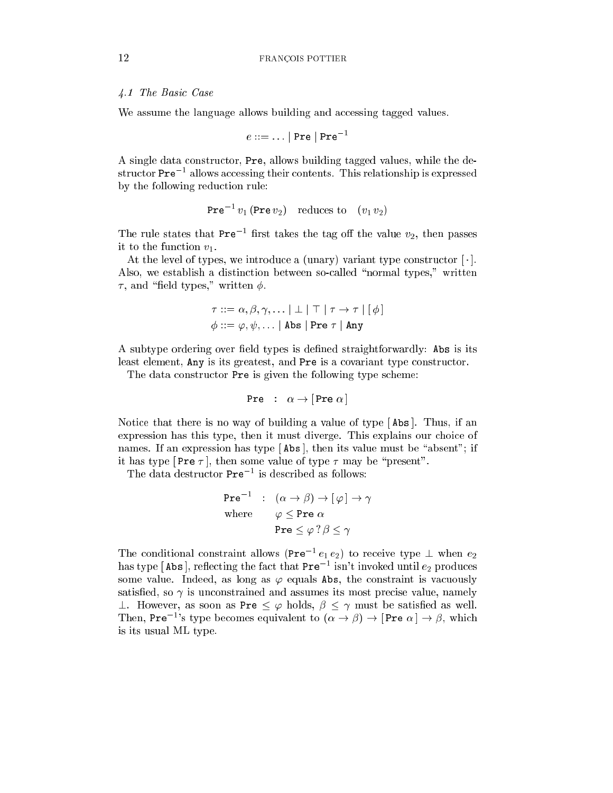### 4.1 The Basi Case

We assume the language allows building and accessing tagged values.

$$
e ::= \dots | \text{ Pre} | \text{ Pre}^{-1}
$$

A single data onstru
tor, Pre, allows building tagged values, while the destructor Pre – allows accessing their contents. This relationship is expressed by the following reduction rule:

$$
Pre^{-1} v_1 (Pre v_2) \quad reduces \ to \quad (v_1 v_2)
$$

The rule states that Pre $\cdot$  1 mst takes the tag on the value  $v_2$ , then passes it to the function  $v_1$ .

At the level of types, we introduce a (unary) variant type constructor  $[\cdot]$ . Also, we establish a distinction between so-called "normal types," written  $\tau$ , and "field types," written  $\phi$ .

$$
\tau ::= \alpha, \beta, \gamma, \dots | \perp | \perp | \perp | \tau \rightarrow \tau | [\phi]
$$

$$
\phi ::= \varphi, \psi, \dots | \text{Abs} | \text{Pre } \tau | \text{Any}
$$

A subtype ordering over field types is defined straightforwardly: Abs is its least element, Any is its greatest, and Pre is a covariant type constructor.

The data constructor Pre is given the following type scheme:

$$
Pre : \alpha \to [Pre \alpha]
$$

Notice that there is no way of building a value of type  $[Abs]$ . Thus, if an expression has this type, then it must diverge. This explains our choice of names. If an expression has type  $[$ Abs  $]$ , then its value must be "absent"; if it has type  $[Pre \tau]$ , then some value of type  $\tau$  may be "present".

I ne data destructor Pre - is described as follows:

$$
\begin{aligned}\n\text{Pre}^{-1} & : \quad (\alpha \to \beta) \to [\varphi] \to \gamma \\
\text{where} & \varphi \le \text{Pre } \alpha \\
& \text{Pre } \le \varphi? \beta \le \gamma\n\end{aligned}
$$

The conditional constraint allows (Pre  $e_1 e_2$ ) to receive type  $\perp$  when  $e_2$ has type | Abs |, reflecting the fact that  $Pre^{-1}$  isn't invoked until  $e_2$  produces some value. Indeed, as long as  $\varphi$  equals Abs, the constraint is vacuously satisfied, so  $\gamma$  is unconstrained and assumes its most precise value, namely  $\perp$ . However, as soon as Pre  $\leq \varphi$  holds,  $\beta \leq \gamma$  must be satisfied as well. Then, Pre<sup>-1</sup>'s type becomes equivalent to  $(\alpha \to \beta) \to \text{Pre } \alpha \to \beta$ , which is its usual ML type.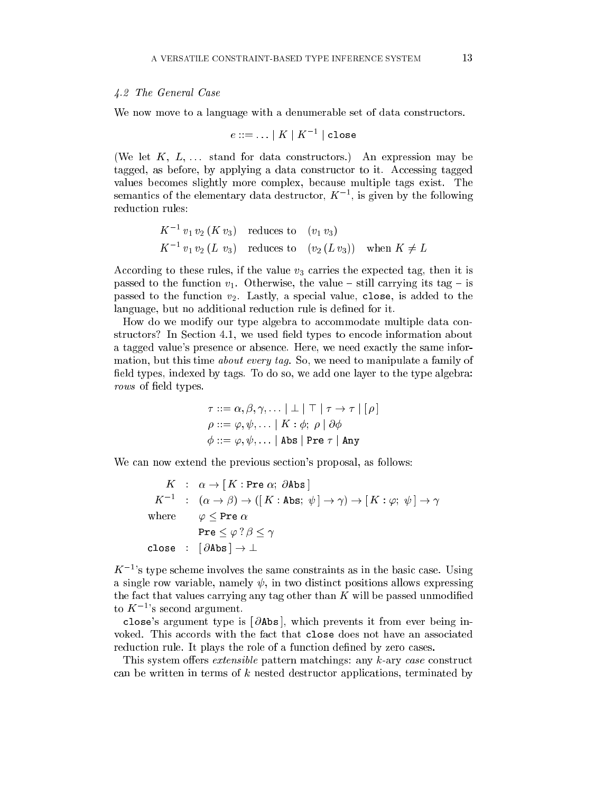### 4.2 The General Case

We now move to a language with a denumerable set of data constructors.

$$
e ::= \ldots \mid K \mid K^{-1} \mid \texttt{close}
$$

(We let  $K, L, \ldots$  stand for data constructors.) An expression may be tagged, as before, by applying a data constructor to it. Accessing tagged values be
omes slightly more omplex, be
ause multiple tags exist. The semantics of the elementary data destructor,  $K^{-1}$ , is given by the following reduction rules:

$$
K^{-1} v_1 v_2 (K v_3)
$$
 reduces to  $(v_1 v_3)$   
 $K^{-1} v_1 v_2 (L v_3)$  reduces to  $(v_2 (L v_3))$  when  $K \neq L$ 

According to these rules, if the value  $v_3$  carries the expected tag, then it is passed to the function  $v_1$ . Otherwise, the value – still carrying its tag – is passed to the function  $v_2$ . Lastly, a special value, close, is added to the language, but no additional reduction rule is defined for it.

How do we modify our type algebra to accommodate multiple data constructors? In Section 4.1, we used field types to encode information about a tagged value's presen
e or absen
e. Here, we need exa
tly the same information, but this time *about every tag*. So, we need to manipulate a family of field types, indexed by tags. To do so, we add one layer to the type algebra: rows of field types.

$$
\tau ::= \alpha, \beta, \gamma, \dots | \perp | \top | \tau \rightarrow \tau | [\rho]
$$
  

$$
\rho ::= \varphi, \psi, \dots | K : \phi; \rho | \partial \phi
$$
  

$$
\phi ::= \varphi, \psi, \dots | \text{Abs} | \text{Pre } \tau | \text{Any}
$$

We can now extend the previous section's proposal, as follows:

$$
K : \alpha \to [K : \text{Pre } \alpha; \partial \text{Abs}]
$$
  
\n
$$
K^{-1} : (\alpha \to \beta) \to ([K : \text{Abs}; \psi] \to \gamma) \to [K : \varphi; \psi] \to \gamma
$$
  
\nwhere  $\varphi \leq \text{Pre } \alpha$   
\n
$$
\text{Pre } \leq \varphi? \beta \leq \gamma
$$
  
\nclose :  $[\partial \text{Abs}] \to \bot$ 

 $K^{-1}$ 's type scheme involves the same constraints as in the basic case. Using a single row variable, namely  $\psi$ , in two distinct positions allows expressing the fact that values carrying any tag other than  $K$  will be passed unmodified to  $K^{-1}$ 's second argument.

close's argument type is [ $\partial$ Abs], which prevents it from ever being invoked. This accords with the fact that close does not have an associated reduction rule. It plays the role of a function defined by zero cases.

This system offers extensible pattern matchings: any k-ary case construct can be written in terms of  $k$  nested destructor applications, terminated by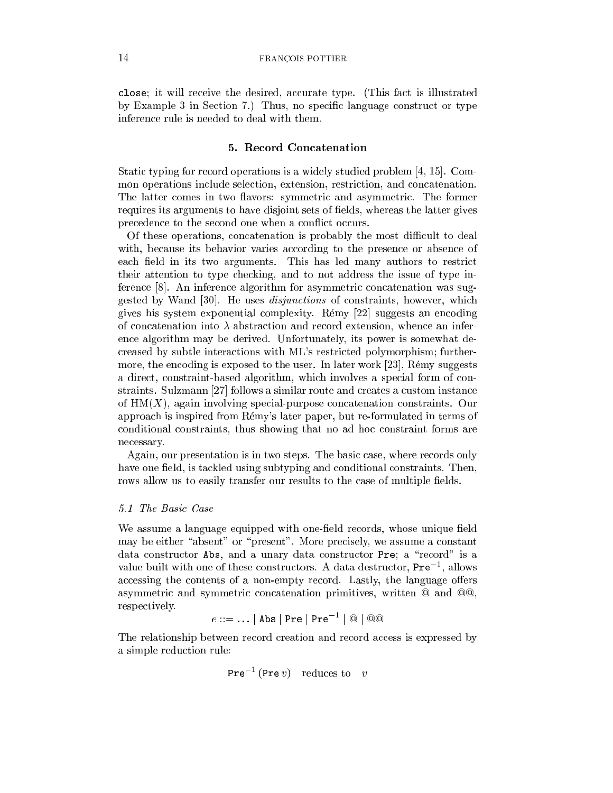close; it will receive the desired, accurate type. (This fact is illustrated by Example 3 in Section 7.) Thus, no specific language construct or type inferen
e rule is needed to deal with them.

# 5. Re
ord Con
atenation

Static typing for record operations is a widely studied problem  $[4, 15]$ . Common operations in
lude sele
tion, extension, restri
tion, and on
atenation. The latter comes in two flavors: symmetric and asymmetric. The former requires its arguments to have disjoint sets of fields, whereas the latter gives precedence to the second one when a conflict occurs.

Of these operations, concatenation is probably the most difficult to deal with, because its behavior varies according to the presence or absence of each field in its two arguments. This has led many authors to restrict their attention to type he
king, and to not address the issue of type inference [8]. An inference algorithm for asymmetric concatenation was suggested by Wand [30]. He uses *disjunctions* of constraints, however, which gives his system exponential complexity. Rémy [22] suggests an encoding of concatenation into  $\lambda$ -abstraction and record extension, whence an inferen
e algorithm may be derived. Unfortunately, its power is somewhat de reased by subtle intera
tions with ML's restri
ted polymorphism; furthermore, the encoding is exposed to the user. In later work  $[23]$ , Rémy suggests a direct, constraint-based algorithm, which involves a special form of constraints. Sulzmann [27] follows a similar route and creates a custom instance of  $HM(X)$ , again involving special-purpose concatenation constraints. Our approa
h is inspired from Remy's later paper, but re-formulated in terms of conditional constraints, thus showing that no ad hoc constraint forms are ne
essary.

Again, our presentation is in two steps. The basic case, where records only have one field, is tackled using subtyping and conditional constraints. Then, rows allow us to easily transfer our results to the case of multiple fields.

# 5.1 The Basi Case

We assume a language equipped with one-field records, whose unique field may be either "absent" or "present". More precisely, we assume a constant data constructor Abs, and a unary data constructor Pre; a "record" is a value built with one of these constructors. A data destructor, Pre 1, allows accessing the contents of a non-empty record. Lastly, the language offers asymmetric and symmetric concatenation primitives, written  $@$  and  $@$  $@$ , respe
tively.

$$
e ::= \dots | \text{ Abs} | \text{Pre} | \text{Pre}^{-1} | @ | @ @
$$

The relationship between record creation and record access is expressed by a simple reduction rule:

$$
Pre^{-1} (Pre v) \text{ reduces to } v
$$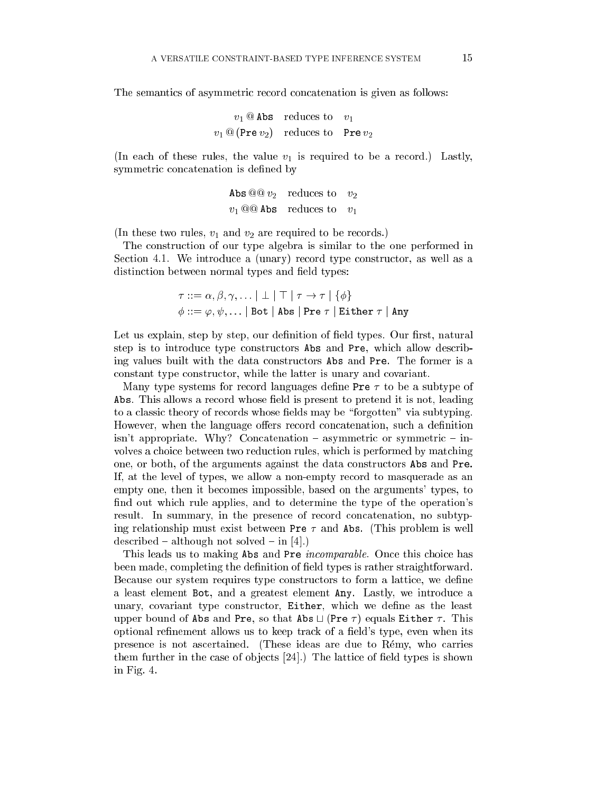The semantics of asymmetric record concatenation is given as follows:

$$
v_1 @\text{Abs} \quad \text{reduces to} \quad v_1 v_1 @\text{ (Pre } v_2) \quad \text{reduces to} \quad \text{Pre } v_2
$$

(In each of these rules, the value  $v_1$  is required to be a record.) Lastly, symmetric concatenation is defined by

> Abs  $@@v_2$  reduces to  $v_2$ v1 Abs redu
> es to v1

(In these two rules,  $v_1$  and  $v_2$  are required to be records.)

The onstru
tion of our type algebra is similar to the one performed in Section 4.1. We introduce a (unary) record type constructor, as well as a distinction between normal types and field types:

$$
\tau ::= \alpha, \beta, \gamma, \dots | \perp | \perp | \perp | \tau \rightarrow \tau | \{\phi\}
$$
  

$$
\phi ::= \varphi, \psi, \dots | \text{Bot } | \text{ Abs } | \text{Pre } \tau | \text{ Either } \tau | \text{ Any}
$$

Let us explain, step by step, our definition of field types. Our first, natural step is to introdu
e type onstru
tors Abs and Pre, whi
h allow des
ribing values built with the data onstru
tors Abs and Pre. The former is a constant type constructor, while the latter is unary and covariant.

Many type systems for record languages define Pre  $\tau$  to be a subtype of Abs. This allows a record whose field is present to pretend it is not, leading to a classic theory of records whose fields may be "forgotten" via subtyping. However, when the language offers record concatenation, such a definition  $\sin$ 't appropriate. Why? Concatenation – asymmetric or symmetric – involves a choice between two reduction rules, which is performed by matching one, or both, of the arguments against the data onstru
tors Abs and Pre. If, at the level of types, we allow a non-empty re
ord to masquerade as an empty one, then it be
omes impossible, based on the arguments' types, to find out which rule applies, and to determine the type of the operation's result. In summary, in the presence of record concatenation, no subtyping relationship must exist between Pre  $\tau$  and Abs. (This problem is well  $described - although not solved - in [4].$ 

This leads us to making Abs and Pre *incomparable*. Once this choice has been made, completing the definition of field types is rather straightforward. Because our system requires type constructors to form a lattice, we define a least element Bot, and a greatest element Any. Lastly, we introdu
e a unary, covariant type constructor, Either, which we define as the least upper bound of Abs and Pre, so that Abs  $\Box$  (Pre  $\tau$ ) equals Either  $\tau$ . This optional refinement allows us to keep track of a field's type, even when its presen
e is not as
ertained. (These ideas are due to Remy, who arries them further in the case of objects  $[24]$ . The lattice of field types is shown in Fig. 4.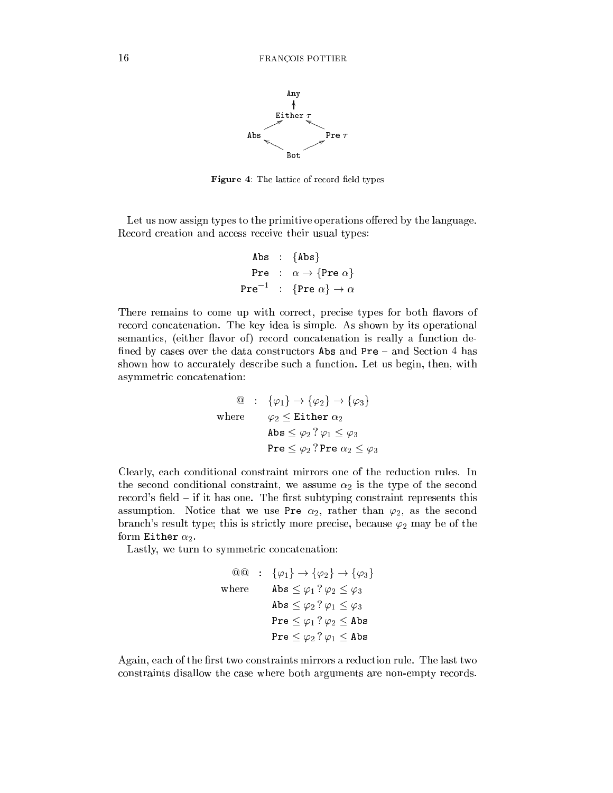

Figure 4: The lattice of record field types

Let us now assign types to the primitive operations offered by the language. Record creation and access receive their usual types:

\n
$$
\text{Abs} : \{\text{Abs}\}
$$
\n  
\n $\text{Pre} : \alpha \to \{\text{Pre } \alpha\}$ \n  
\n $\text{Pre}^{-1} : \{\text{Pre } \alpha\} \to \alpha$ \n

There remains to come up with correct, precise types for both flavors of record concatenation. The key idea is simple. As shown by its operational semantics, (either flavor of) record concatenation is really a function defined by cases over the data constructors  $\Delta$ bs and Pre – and Section 4 has shown how to accurately describe such a function. Let us begin, then, with asymmetric concatenation:

$$
\begin{array}{ll}\n\textcircled{a} & \colon \{ \varphi_1 \} \to \{ \varphi_2 \} \to \{ \varphi_3 \} \\
\text{where} & \varphi_2 \leq \text{Either } \alpha_2 \\
\text{Abs} \leq \varphi_2 ? \varphi_1 \leq \varphi_3 \\
\text{Pre} \leq \varphi_2 ? \text{Pre } \alpha_2 \leq \varphi_3\n\end{array}
$$

Clearly, ea
h onditional onstraint mirrors one of the redu
tion rules. In the second conditional constraint, we assume  $\alpha_2$  is the type of the second record's field – if it has one. The first subtyping constraint represents this assumption. Notice that we use Pre  $\alpha_2$ , rather than  $\varphi_2$ , as the second branch's result type; this is strictly more precise, because  $\varphi_2$  may be of the form Either  $\alpha_2$ .

Lastly, we turn to symmetric concatenation:

$$
\begin{array}{rcl}\n\textcircled{0} & : & \{\varphi_1\} \to \{\varphi_2\} \to \{\varphi_3\} \\
\text{where} & \text{Abs} \leq \varphi_1 ? \varphi_2 \leq \varphi_3 \\
& \text{Abs} \leq \varphi_2 ? \varphi_1 \leq \varphi_3 \\
& \text{Pre} \leq \varphi_1 ? \varphi_2 \leq \text{Abs} \\
& \text{Pre} \leq \varphi_2 ? \varphi_1 \leq \text{Abs}\n\end{array}
$$

Again, each of the first two constraints mirrors a reduction rule. The last two onstraints disallow the ase where both arguments are non-empty re
ords.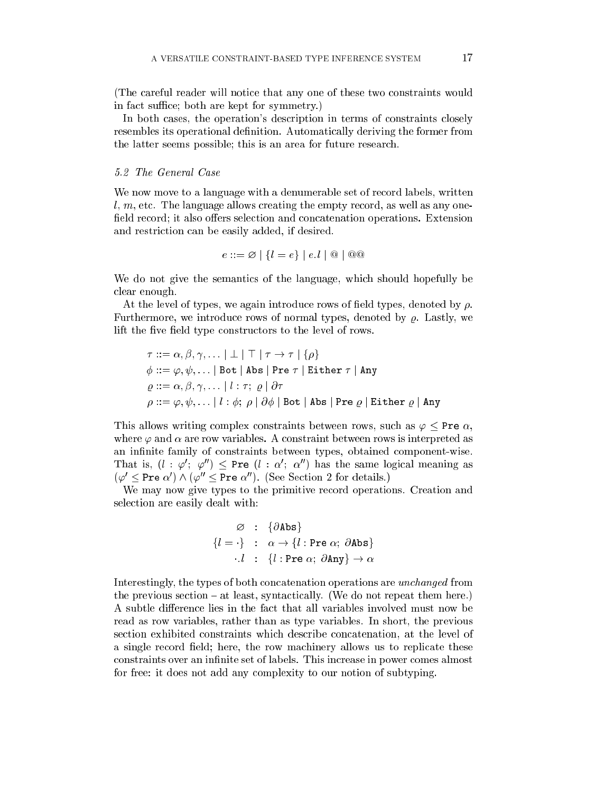(The careful reader will notice that any one of these two constraints would in fact suffice; both are kept for symmetry.)

In both cases, the operation's description in terms of constraints closely resembles its operational definition. Automatically deriving the former from the latter seems possible; this is an area for future resear
h.

We now move to a language with a denumerable set of record labels, written  $l, m$ , etc. The language allows creating the empty record, as well as any onefield record; it also offers selection and concatenation operations. Extension and restriction can be easily added, if desired.

$$
e ::= \varnothing \mid \{l = e\} \mid e.l \mid @ \mid @ @
$$

We do not give the semantics of the language, which should hopefully be clear enough.

At the level of types, we again introduce rows of field types, denoted by  $\rho$ . Furthermore, we introduce rows of normal types, denoted by  $\rho$ . Lastly, we lift the five field type constructors to the level of rows.

$$
\tau ::= \alpha, \beta, \gamma, \dots | \perp | \top | \tau \rightarrow \tau | \{\rho\}
$$
  
\n
$$
\phi ::= \varphi, \psi, \dots | \text{Bot} | \text{Abs} | \text{Pre} \tau | \text{Either} \tau | \text{Any}
$$
  
\n
$$
\varrho ::= \alpha, \beta, \gamma, \dots | l : \tau; \varrho | \partial \tau
$$
  
\n
$$
\rho ::= \varphi, \psi, \dots | l : \phi; \rho | \partial \phi | \text{Bot} | \text{Abs} | \text{Pre} \varrho | \text{Either} \varrho | \text{Any}
$$

This allows writing complex constraints between rows, such as  $\varphi \leq \text{Pre } \alpha$ , where  $\varphi$  and  $\alpha$  are row variables. A constraint between rows is interpreted as an infinite family of constraints between types, obtained component-wise. That is,  $(l : \varphi; \varphi') \leq$  Pre  $(l : \alpha; \alpha')$  has the same logical meaning as  $(\varphi \leq \texttt{Pre} \ \alpha') \wedge (\varphi \leq \texttt{Pre} \ \alpha'')$ . (See Section 2 for details.)

We may now give types to the primitive record operations. Creation and sele
tion are easily dealt with:

$$
\varnothing : \{\partial \text{Abs}\}
$$
  

$$
\{l = \cdot\} : \alpha \to \{l : \text{Pre }\alpha; \partial \text{Abs}\}
$$
  

$$
\cdot l : \{l : \text{Pre }\alpha; \partial \text{Any}\} \to \alpha
$$

Interestingly, the types of both concatenation operations are *unchanged* from the previous section  $-$  at least, syntactically. (We do not repeat them here.) A subtle difference lies in the fact that all variables involved must now be read as row variables, rather than as type variables. In short, the previous se
tion exhibited onstraints whi
h des
ribe on
atenation, at the level of a single record field; here, the row machinery allows us to replicate these constraints over an infinite set of labels. This increase in power comes almost for free: it does not add any omplexity to our notion of subtyping.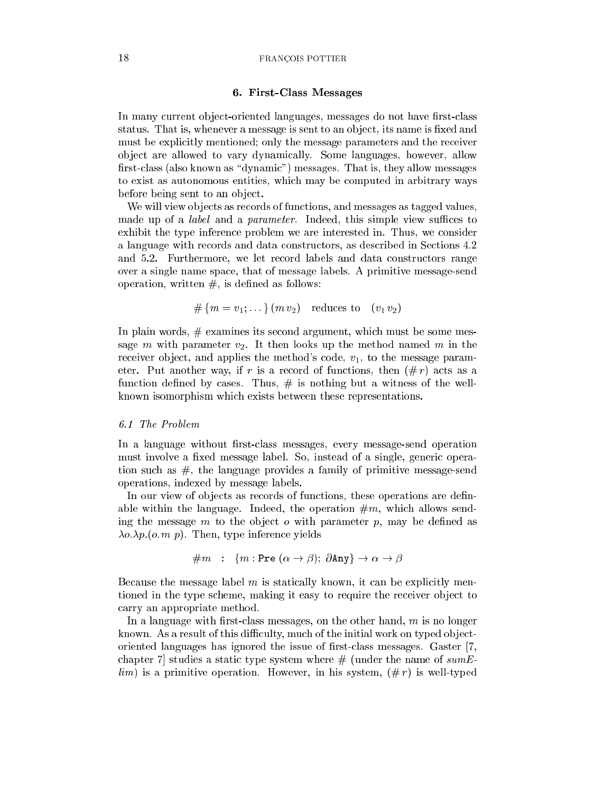#### 18 FRANCOIS POTTIER

### 6. First-Class Messages

In many current object-oriented languages, messages do not have first-class status. That is, whenever a message is sent to an object, its name is fixed and must be explicitly mentioned; only the message parameters and the receiver ob je
t are allowed to vary dynami
ally. Some languages, however, allow first-class (also known as "dynamic") messages. That is, they allow messages to exist as autonomous entities, whi
h may be omputed in arbitrary ways before being sent to an object.

We will view objects as records of functions, and messages as tagged values, made up of a *label* and a *parameter*. Indeed, this simple view suffices to exhibit the type inferen
e problem we are interested in. Thus, we onsider a language with re
ords and data onstru
tors, as des
ribed in Se
tions 4.2 and 5.2. Furthermore, we let re
ord labels and data onstru
tors range over a single name spa
e, that of message labels. A primitive message-send operation, written  $#$ , is defined as follows:

$$
\#\{m=v_1;\dots\}(m\,v_2)\quad\text{reduces to}\quad(v_1\,v_2)
$$

In plain words, # examines its se
ond argument, whi
h must be some message m with parameter  $v_2$ . It then looks up the method named m in the receiver object, and applies the method's code,  $v_1$ , to the message parameter. Put another way, if r is a record of functions, then  $(\# r)$  acts as a function defined by cases. Thus,  $\#$  is nothing but a witness of the wellknown isomorphism whi
h exists between these representations.

# 6.1 The Problem

In a language without first-class messages, every message-send operation must involve a fixed message label. So, instead of a single, generic operation such as  $\#$ , the language provides a family of primitive message-send operations, indexed by message labels.

In our view of objects as records of functions, these operations are definable within the language. Indeed, the operation  $\#m$ , which allows sending the message  $m$  to the object  $o$  with parameter  $p$ , may be defined as  $\lambda o.\lambda p.(o.m p)$ . Then, type inference yields

$$
\#m \ : \ \{m : \text{Pre } (\alpha \to \beta); \ \partial \text{Any} \} \to \alpha \to \beta
$$

Because the message label  $m$  is statically known, it can be explicitly mentioned in the type scheme, making it easy to require the receiver object to arry an appropriate method.

In a language with first-class messages, on the other hand,  $m$  is no longer known. As a result of this difficulty, much of the initial work on typed objectoriented languages has ignored the issue of first-class messages. Gaster [7, chapter 7 studies a static type system where  $\#$  (under the name of sumE $lim$ ) is a primitive operation. However, in his system,  $(\# r)$  is well-typed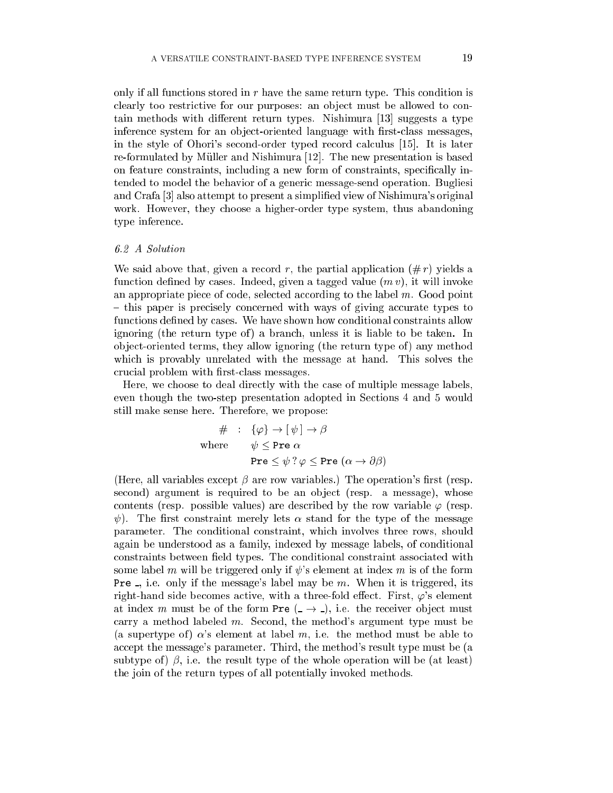only if all functions stored in  $r$  have the same return type. This condition is clearly too restrictive for our purposes: an object must be allowed to contain methods with different return types. Nishimura [13] suggests a type inference system for an object-oriented language with first-class messages, in the style of Ohori's second-order typed record calculus [15]. It is later re-formulated by Müller and Nishimura [12]. The new presentation is based on feature constraints, including a new form of constraints, specifically intended to model the behavior of a generi message-send operation. Bugliesi and Crafa [3] also attempt to present a simplified view of Nishimura's original work. However, they hoose a higher-order type system, thus abandoning type inferen
e.

# 6.2 A Solution

We said above that, given a record r, the partial application  $(\text{\# } r)$  yields a function defined by cases. Indeed, given a tagged value  $(m v)$ , it will invoke an appropriate piece of code, selected according to the label  $m$ . Good point - this paper is precisely concerned with ways of giving accurate types to functions defined by cases. We have shown how conditional constraints allow ignoring (the return type of ) a bran
h, unless it is liable to be taken. In object-oriented terms, they allow ignoring (the return type of) any method which is provably unrelated with the message at hand. This solves the crucial problem with first-class messages.

Here, we hoose to deal dire
tly with the ase of multiple message labels, even though the two-step presentation adopted in Se
tions 4 and 5 would still make sense here. Therefore, we propose:

$$
\# \; : \; \{\varphi\} \to [\psi] \to \beta
$$
\n
$$
\text{where} \qquad \psi \leq \text{Pre } \alpha
$$
\n
$$
\text{Pre } \leq \psi \, ? \, \varphi \leq \text{Pre } (\alpha \to \partial \beta)
$$

(Here, all variables except  $\beta$  are row variables.) The operation's first (resp. second) argument is required to be an object (resp. a message), whose contents (resp. possible values) are described by the row variable  $\varphi$  (resp.  $\psi$ ). The first constraint merely lets  $\alpha$  stand for the type of the message parameter. The onditional onstraint, whi
h involves three rows, should again be understood as a family, indexed by message labels, of conditional constraints between field types. The conditional constraint associated with some label m will be triggered only if  $\psi$ 's element at index m is of the form **Pre**  $\Box$ , i.e. only if the message's label may be m. When it is triggered, its right-hand side becomes active, with a three-fold effect. First,  $\varphi$ 's element at index m must be of the form Pre  $($   $\rightarrow$   $)$ , i.e. the receiver object must carry a method labeled  $m$ . Second, the method's argument type must be (a supertype of)  $\alpha$ 's element at label m, i.e. the method must be able to accept the message's parameter. Third, the method's result type must be (a subtype of  $\beta$ , i.e. the result type of the whole operation will be (at least) the join of the return types of all potentially invoked methods.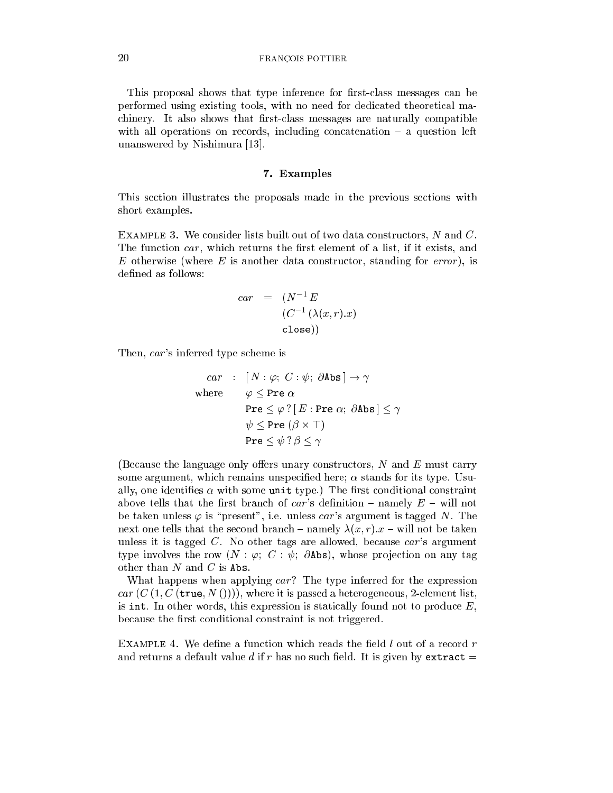#### FRANCOIS POTTIER

This proposal shows that type inference for first-class messages can be performed using existing tools, with no need for dedi
ated theoreti
al ma chinery. It also shows that first-class messages are naturally compatible with all operations on records, including concatenation  $-$  a question left unanswered by Nishimura [13].

#### 7. Examples

This se
tion illustrates the proposals made in the previous se
tions with short examples.

EXAMPLE 3. We consider lists built out of two data constructors, N and C. The function car, which returns the first element of a list, if it exists, and E otherwise (where  $E$  is another data constructor, standing for *error*), is defined as follows:

$$
car = (N^{-1} E
$$

$$
(C^{-1} (\lambda(x, r).x)
$$

$$
close))
$$

Then, ar's inferred type s
heme is

$$
car : [N : \varphi; C : \psi; \partial \text{Abs}] \rightarrow \gamma
$$
  
where  $\varphi \leq \text{Pre } \alpha$   

$$
\text{Pre } \leq \varphi ? [E : \text{Pre } \alpha; \partial \text{Abs}] \leq \gamma
$$
  

$$
\psi \leq \text{Pre } (\beta \times \top)
$$
  

$$
\text{Pre } \leq \psi ? \beta \leq \gamma
$$

(Because the language only offers unary constructors,  $N$  and  $E$  must carry some argument, which remains unspecified here;  $\alpha$  stands for its type. Usually, one identifies  $\alpha$  with some unit type.) The first conditional constraint above tells that the first branch of  $car$ 's definition – namely  $E$  – will not be taken unless  $\varphi$  is "present", i.e. unless car's argument is tagged N. The next one tells that the second branch – namely  $\lambda(x, r)$ .  $x$  – will not be taken unless it is tagged  $C$ . No other tags are allowed, because  $car$ 's argument type involves the row  $(N : \varphi; C : \psi; \partial \text{Abs})$ , whose projection on any tag other than  $N$  and  $C$  is Abs.

What happens when applying car? The type inferred for the expression car  $(C(1, C(\text{true}, N())))$ , where it is passed a heterogeneous, 2-element list, is int. In other words, this expression is statically found not to produce  $E$ , because the first conditional constraint is not triggered.

EXAMPLE 4. We define a function which reads the field  $l$  out of a record  $r$ and returns a default value d if r has no such field. It is given by extract  $=$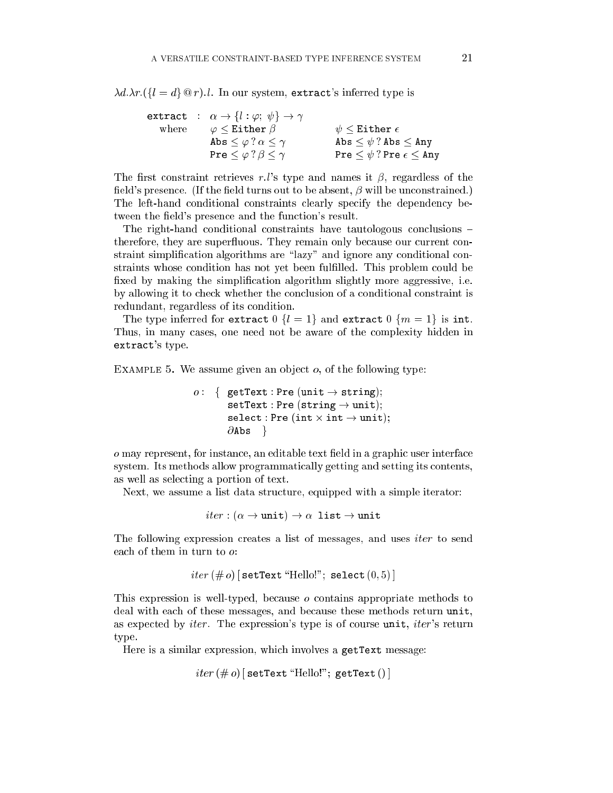$\lambda d.\lambda r. (\{l = d\} \mathcal{Q} r).$  In our system, extract's inferred type is

|       | extract : $\alpha \rightarrow \{l : \varphi : \psi\} \rightarrow \gamma$ |                                          |
|-------|--------------------------------------------------------------------------|------------------------------------------|
| where | $\varphi \leq {\tt Either}~\beta$                                        | $\psi$ $<$ Either $\epsilon$             |
|       | Abs $\leq \varphi ? \alpha \leq \gamma$                                  | Abs $\leq \psi$ ? Abs $\leq$ Any         |
|       | Pre $\leq \varphi$ ? $\beta \leq \gamma$                                 | Pre $\leq \psi$ ?Pre $\epsilon \leq$ Any |

The first constraint retrieves r.l's type and names it  $\beta$ , regardless of the field's presence. (If the field turns out to be absent,  $\beta$  will be unconstrained.) The left-hand conditional constraints clearly specify the dependency between the field's presence and the function's result.

The right-hand conditional constraints have tautologous conclusions – therefore, they are superfluous. They remain only because our current constraint simplification algorithms are "lazy" and ignore any conditional constraints whose condition has not yet been fulfilled. This problem could be fixed by making the simplification algorithm slightly more aggressive, i.e. by allowing it to check whether the conclusion of a conditional constraint is redundant, regardless of its ondition.

The type inferred for extract  $0 \{l = 1\}$  and extract  $0 \{m = 1\}$  is int. Thus, in many cases, one need not be aware of the complexity hidden in extract's type.

EXAMPLE 5. We assume given an object  $o$ , of the following type:

```
o: \{ getText : Pre (unit \rightarrow string);setText : Pre (string \rightarrow unit);sele
t : Pre (int -
 int ! unit);
        \partialAbs \}
```
o may represent, for instance, an editable text field in a graphic user interface system. Its methods allow programmati
ally getting and setting its ontents, as well as sele
ting a portion of text.

Next, we assume a list data structure, equipped with a simple iterator:

 $iter : (\alpha \rightarrow \text{unit}) \rightarrow \alpha \text{ list } \rightarrow \text{unit}$ 

The following expression creates a list of messages, and uses *iter* to send each of them in turn to  $o$ :

```
iter (\# o) [setText "Hello!"; select (0,5)]
```
This expression is well-typed, because  $\sigma$  contains appropriate methods to deal with each of these messages, and because these methods return unit, as expected by *iter*. The expression's type is of course unit, *iter*'s return type.

Here is a similar expression, whi
h involves a getText message:

```
iter (\text{\# } o) [setText "Hello!"; getText () ]
```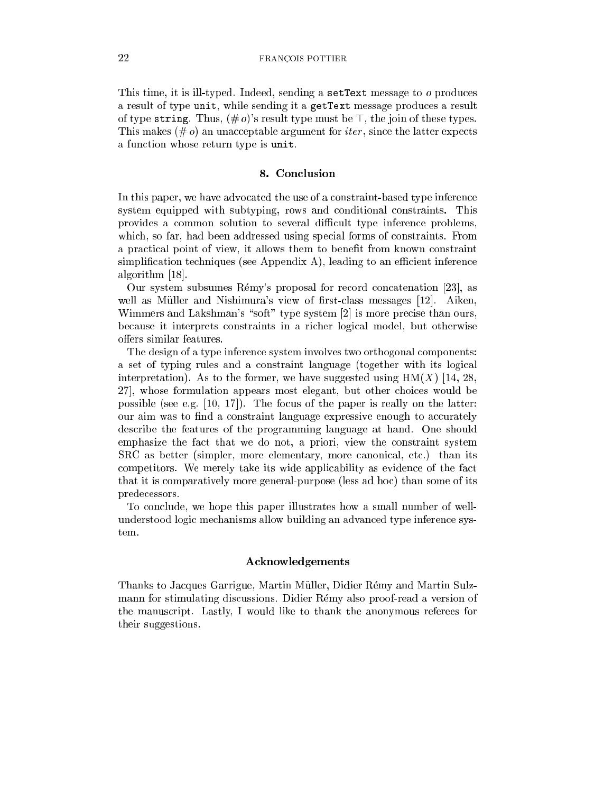This time, it is ill-typed. Indeed, sending a setText message to  $o$  produces a result of type unit, while sending it a getText message produ
es a result of type string. Thus,  $(\text{# } o)$ 's result type must be  $\top$ , the join of these types. This makes  $(\text{# } o)$  an unacceptable argument for *iter*, since the latter expects a function whose return type is unit.

#### 8. Con
lusion

In this paper, we have advocated the use of a constraint-based type inference system equipped with subtyping, rows and onditional onstraints. This provides a common solution to several difficult type inference problems, which, so far, had been addressed using special forms of constraints. From a practical point of view, it allows them to benefit from known constraint simplification techniques (see Appendix A), leading to an efficient inference algorithm  $[18]$ .

Our system subsumes Rémy's proposal for record concatenation [23], as well as Müller and Nishimura's view of first-class messages [12]. Aiken, Wimmers and Lakshman's "soft" type system  $[2]$  is more precise than ours, be
ause it interprets onstraints in a ri
her logi
al model, but otherwise offers similar features.

The design of a type inferen
e system involves two orthogonal omponents: a set of typing rules and a constraint language (together with its logical interpretation). As to the former, we have suggested using  $HM(X)$  [14, 28, 27, whose formulation appears most elegant, but other choices would be possible (see e.g.  $[10, 17]$ ). The focus of the paper is really on the latter: our aim was to find a constraint language expressive enough to accurately des
ribe the features of the programming language at hand. One should emphasize the fact that we do not, a priori, view the constraint system SRC as better (simpler, more elementary, more canonical, etc.) than its ompetitors. We merely take its wide appli
ability as eviden
e of the fa
t that it is omparatively more general-purpose (less ad ho
) than some of its prede
essors.

To on
lude, we hope this paper illustrates how a small number of wellunderstood logi me
hanisms allow building an advan
ed type inferen
e system.

# **Acknowledgements**

Thanks to Ja
ques Garrigue, Martin Muller, Didier Remy and Martin Sulzmann for stimulating discussions. Didier Rémy also proof-read a version of the manus
ript. Lastly, I would like to thank the anonymous referees for their suggestions.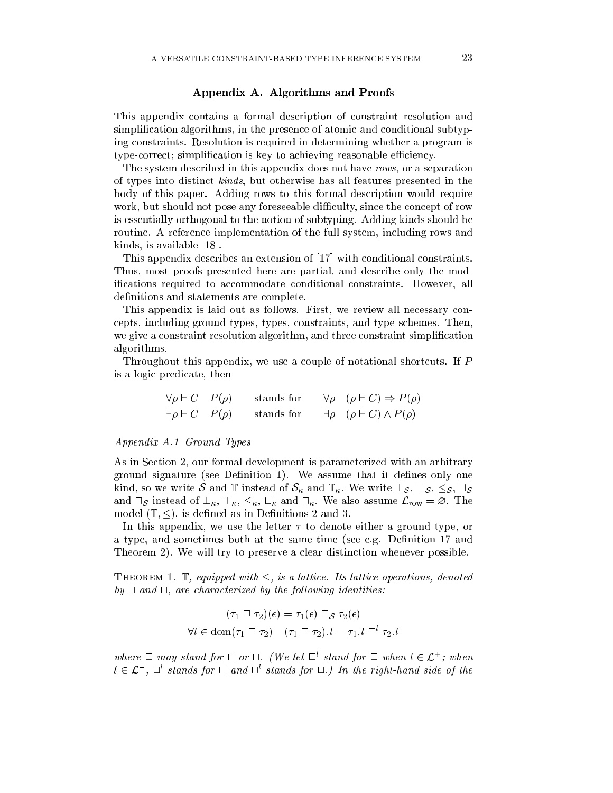# Appendix A. Algorithms and Proofs

This appendix ontains a formal des
ription of onstraint resolution and simplification algorithms, in the presence of atomic and conditional subtyping onstraints. Resolution is required in determining whether a program is type-correct; simplification is key to achieving reasonable efficiency.

The system described in this appendix does not have rows, or a separation of types into distin
t kinds, but otherwise has all features presented in the body of this paper. Adding rows to this formal des
ription would require work, but should not pose any foreseeable difficulty, since the concept of row is essentially orthogonal to the notion of subtyping. Adding kinds should be routine. A referen
e implementation of the full system, in
luding rows and kinds, is available  $[18]$ .

This appendix describes an extension of [17] with conditional constraints. Thus, most proofs presented here are partial, and des
ribe only the modifications required to accommodate conditional constraints. However, all definitions and statements are complete.

This appendix is laid out as follows. First, we review all necessary conepts, in
luding ground types, types, onstraints, and type s
hemes. Then, we give a constraint resolution algorithm, and three constraint simplification algorithms.

Throughout this appendix, we use a couple of notational shortcuts. If  $P$ is a logi predi
ate, then

$$
\forall \rho \vdash C \quad P(\rho) \qquad \text{stands for} \qquad \forall \rho \quad (\rho \vdash C) \Rightarrow P(\rho)
$$
  

$$
\exists \rho \vdash C \quad P(\rho) \qquad \text{stands for} \qquad \exists \rho \quad (\rho \vdash C) \land P(\rho)
$$

#### Appendix A.1 Ground Types

As in Se
tion 2, our formal development is parameterized with an arbitrary ground signature (see Definition 1). We assume that it defines only one kind, so we write S and T instead of  $S_{\kappa}$  and  $\mathbb{T}_{\kappa}$ . We write  $\perp_{\mathcal{S}}$ ,  $\top_{\mathcal{S}}$ ,  $\subseteq_{\mathcal{S}}$ ,  $\sqcup_{\mathcal{S}}$ and  $\sqcap_{\mathcal{S}}$  instead of  $\perp_{\kappa}$ ,  $\top_{\kappa}$ ,  $\leq_{\kappa}$ ,  $\sqcup_{\kappa}$  and  $\sqcap_{\kappa}$ . We also assume  $\mathcal{L}_{row} = \emptyset$ . The model  $(\mathbb{T}, \leq)$ , is defined as in Definitions 2 and 3.

In this appendix, we use the letter  $\tau$  to denote either a ground type, or a type, and sometimes both at the same time (see e.g. Definition 17 and Theorem 2). We will try to preserve a clear distinction whenever possible.

THEOREM 1. T, equipped with  $\leq$ , is a lattice. Its lattice operations, denoted  $by \sqcup$  and  $\sqcap$ , are characterized by the following identities:

$$
(\tau_1 \ \Box \ \tau_2)(\epsilon) = \tau_1(\epsilon) \ \Box_S \ \tau_2(\epsilon)
$$
  

$$
\forall l \in \text{dom}(\tau_1 \ \Box \ \tau_2) \quad (\tau_1 \ \Box \ \tau_2).l = \tau_1.l \ \Box^l \ \tau_2.l
$$

where  $\Box$  may stand for  $\Box$  or  $\Box$  (We let  $\Box$  stand for  $\Box$  when  $\iota \in \mathcal{L}$  ; when  $u \in L$  ,  $\Box$  stands for  $\Box$  and  $\Box$  stands for  $\Box$ .) In the right-hand side of the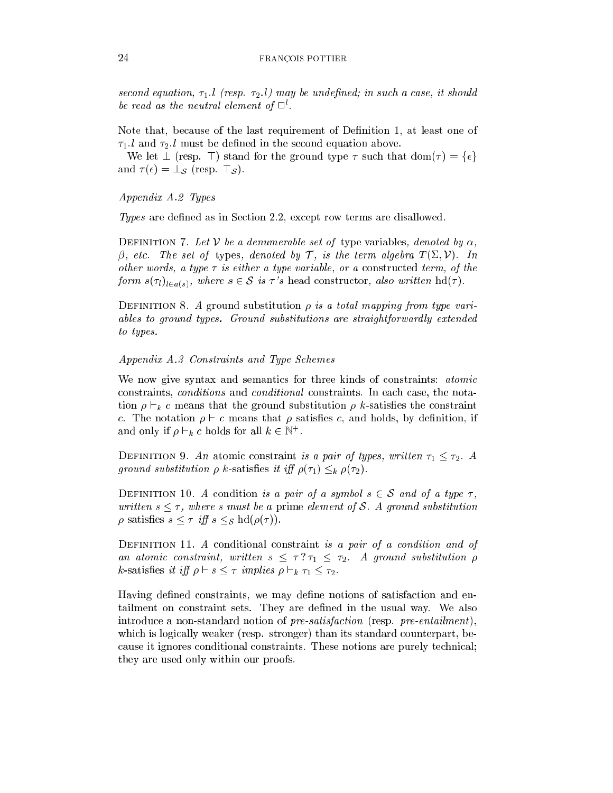second equation,  $\tau_1$ . l (resp.  $\tau_2$ . l) may be undefined; in such a case, it should be read as the neutral element of  $\sqcup$  .

Note that, because of the last requirement of Definition 1, at least one of  $\tau_1$ . l and  $\tau_2$ . l must be defined in the second equation above.

We let  $\perp$  (resp.  $\perp$ ) stand for the ground type  $\tau$  such that  $dom(\tau) = {\epsilon}$ and  $\tau(\epsilon) = \perp_{\mathcal{S}}$  (resp.  $\top_{\mathcal{S}}$ ).

# Appendix A.2 Types

Types are defined as in Section 2.2, except row terms are disallowed.

DEFINITION 7. Let V be a denumerable set of type variables, denoted by  $\alpha$ ,  $\beta$ , etc. The set of types, denoted by T, is the term algebra  $T(\Sigma, \mathcal{V})$ . In other words, a type  $\tau$  is either a type variable, or a constructed term, of the form  $s(\tau_i)_{i \in a(s)}$ , where  $s \in S$  is  $\tau$ 's head constructor, also written  $hd(\tau)$ .

DEFINITION 8. A ground substitution  $\rho$  is a total mapping from type variables to ground types. Ground substitutions are straightforwardly extended to types.

#### Appendix A.3 Constraints and Type S
hemes

We now give syntax and semantics for three kinds of constraints: *atomic* constraints, *conditions* and *conditional* constraints. In each case, the notation  $\rho \vdash_k c$  means that the ground substitution  $\rho$  k-satisfies the constraint c. The notation  $\rho \vdash c$  means that  $\rho$  satisfies c, and holds, by definition, if and only if  $\rho \vdash_k c$  not as for all  $\kappa \in \mathbb{N}^+$ .

DEFINITION 9. An atomic constraint is a pair of types, written  $\tau_1 \leq \tau_2$ . A ground substitution  $\rho$  k-satisfies it iff  $\rho(\tau_1) \leq_k \rho(\tau_2)$ .

DEFINITION 10. A condition is a pair of a symbol  $s \in S$  and of a type  $\tau$ , written  $s \leq \tau$ , where s must be a prime element of S. A ground substitution  $\rho$  satisfies  $s \leq \tau$  iff  $s \leq_{\mathcal{S}} \text{hd}(\rho(\tau))$ .

DEFINITION 11. A conditional constraint is a pair of a condition and of an atomic constraint, written  $s \leq \tau$ ?  $\tau_1 \leq \tau_2$ . A ground substitution  $\rho$ k-satisfies it iff  $\rho \vdash s \leq \tau$  implies  $\rho \vdash_k \tau_1 \leq \tau_2$ .

Having defined constraints, we may define notions of satisfaction and entailment on onstraint sets. They are dened in the usual way. We also introduce a non-standard notion of  $pre-satification$  (resp.  $pre-entailment$ ), which is logically weaker (resp. stronger) than its standard counterpart, because it ignores conditional constraints. These notions are purely technical; they are used only within our proofs.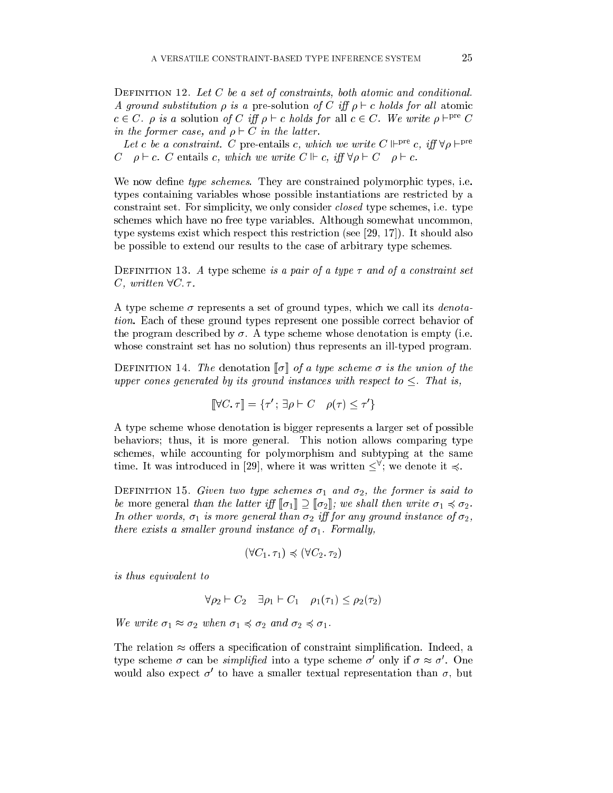DEFINITION 12. Let  $C$  be a set of constraints, both atomic and conditional. A ground substitution  $\rho$  is a pre-solution of C iff  $\rho \vdash c$  holds for all atomic  $c \in C$ .  $\rho$  is a solution of C iff  $\rho \vdash c$  holds for all  $c \in C$ . We write  $\rho \vdash^{\text{pre}} C$ in the former case, and  $\rho \vdash C$  in the latter.

Let c be a constraint. C pre-entails c, which we write  $C \Vdash^{\text{pre}} c$ , iff  $\forall \rho \vdash^{\text{pre}}$ C  $\rho \vdash c$ . C entails c, which we write  $C \Vdash c$ , iff  $\forall \rho \vdash C \quad \rho \vdash c$ .

We now define type schemes. They are constrained polymorphic types, i.e. types ontaining variables whose possible instantiations are restri
ted by a constraint set. For simplicity, we only consider *closed* type schemes, i.e. type schemes which have no free type variables. Although somewhat uncommon, type systems exist which respect this restriction (see  $[29, 17]$ ). It should also be possible to extend our results to the ase of arbitrary type s
hemes.

DEFINITION 13. A type scheme is a pair of a type  $\tau$  and of a constraint set C, written  $\forall C. \tau$ .

A type scheme  $\sigma$  represents a set of ground types, which we call its *denota*tion. Ea
h of these ground types represent one possible orre
t behavior of the program described by  $\sigma$ . A type scheme whose denotation is empty (i.e. whose onstraint set has no solution) thus represents an ill-typed program.

DEFINITION 14. The denotation  $\llbracket \sigma \rrbracket$  of a type scheme  $\sigma$  is the union of the upper cones generated by its ground instances with respect to  $\leq$ . That is,

$$
[\![\forall C.\ \tau]\!] = \{\tau'; \ \exists \rho \vdash C \quad \rho(\tau) \leq \tau'\}
$$

A type s
heme whose denotation is bigger represents a larger set of possible behaviors; thus, it is more general. This notion allows omparing type schemes, while accounting for polymorphism and subtyping at the same  $\mu$  and  $\mu$  is the following in [29], where it was written  $\leq$  ; we denote it  $\leq$ .

DEFINITION 15. Given two type schemes  $\sigma_1$  and  $\sigma_2$ , the former is said to be more general than the latter iff  $\llbracket \sigma_1 \rrbracket \supseteq \llbracket \sigma_2 \rrbracket$ ; we shall then write  $\sigma_1 \preccurlyeq \sigma_2$ . In other words,  $\sigma_1$  is more general than  $\sigma_2$  iff for any ground instance of  $\sigma_2$ , there exists a smaller ground instance of  $\sigma_1$ . Formally,

$$
(\forall C_1.\ \tau_1) \preccurlyeq (\forall C_2.\ \tau_2)
$$

is thus equivalent to

$$
\forall \rho_2 \vdash C_2 \quad \exists \rho_1 \vdash C_1 \quad \rho_1(\tau_1) \le \rho_2(\tau_2)
$$

We write  $\sigma_1 \approx \sigma_2$  when  $\sigma_1 \preccurlyeq \sigma_2$  and  $\sigma_2 \preccurlyeq \sigma_1$ .

The relation  $\approx$  offers a specification of constraint simplification. Indeed, a type scheme  $\sigma$  can be *symplified* into a type scheme  $\sigma$  only if  $\sigma \approx \sigma$ . One would also expect  $\sigma$  to have a sinalier textual representation than  $\sigma$ , but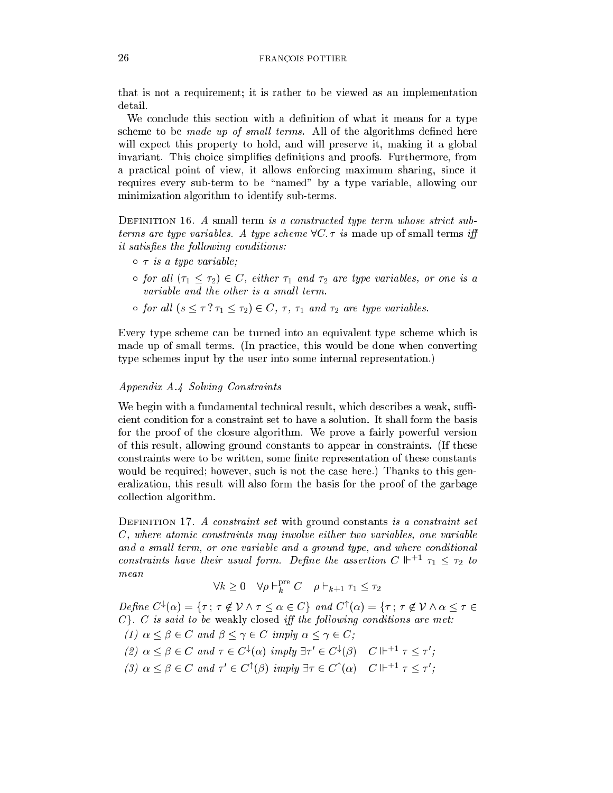#### 26 FRANCOIS POTTIER

that is not a requirement; it is rather to be viewed as an implementation detail.

We conclude this section with a definition of what it means for a type scheme to be *made up of small terms*. All of the algorithms defined here will expect this property to hold, and will preserve it, making it a global invariant. This choice simplifies definitions and proofs. Furthermore, from a practical point of view, it allows enforcing maximum sharing, since it requires every sub-term to be "named" by a type variable, allowing our minimization algorithm to identify sub-terms.

DEFINITION 16. A small term is a constructed type term whose strict subterms are type variables. A type scheme  $\forall C. \tau$  is made up of small terms iff it satisfies the following conditions:

- $\circ \tau$  is a type variable;
- $\circ$  for all  $(\tau_1 \leq \tau_2) \in C$ , either  $\tau_1$  and  $\tau_2$  are type variables, or one is a variable and the other is a small term.
- $\circ$  for all  $(s \leq \tau ? \tau_1 \leq \tau_2) \in C$ ,  $\tau$ ,  $\tau_1$  and  $\tau_2$  are type variables.

Every type scheme can be turned into an equivalent type scheme which is made up of small terms. (In practice, this would be done when converting type s
hemes input by the user into some internal representation.)

# Appendix A.4 Solving Constraints

We begin with a fundamental technical result, which describes a weak, sufficient condition for a constraint set to have a solution. It shall form the basis for the proof of the losure algorithm. We prove a fairly powerful version of this result, allowing ground onstants to appear in onstraints. (If these constraints were to be written, some finite representation of these constants would be required; however, such is not the case here.) Thanks to this generalization, this result will also form the basis for the proof of the garbage olle
tion algorithm.

DEFINITION 17. A constraint set with ground constants is a constraint set  $C$ , where atomic constraints may involve either two variables, one variable and a small term, or one variable and a ground type, and where conditional constraints have their usual form. Define the assertion  $C \Vdash^{+1} \tau_1 \leq \tau_2$  to mean

$$
\forall k \geq 0 \quad \forall \rho \vdash^{\text{pre}}_{k} C \quad \rho \vdash_{k+1} \tau_1 \leq \tau_2
$$

Define  $C^*(\alpha) = \{\tau : \tau \notin V \wedge \tau \leq \alpha \in C\}$  and  $C^*(\alpha) = \{\tau : \tau \notin V \wedge \alpha \leq \tau \in$  $C$ . C is said to be weakly closed iff the following conditions are met: (1)  $\alpha \leq \beta \in C$  and  $\beta \leq \gamma \in C$  imply  $\alpha \leq \gamma \in C$ ;  $(z) \alpha \leq \beta \in C$  and  $\tau \in C^{\infty}(\alpha)$  uniquy  $\exists \tau \in C^{\infty}(\beta)$  for  $\tau \in \tau \leq \tau$ ;

(3)  $\alpha \leq \beta \in C$  and  $\tau \in C^+(\beta)$  umply  $\exists \tau \in C^+(\alpha)$  for  $\tau \leq \tau$ ;

26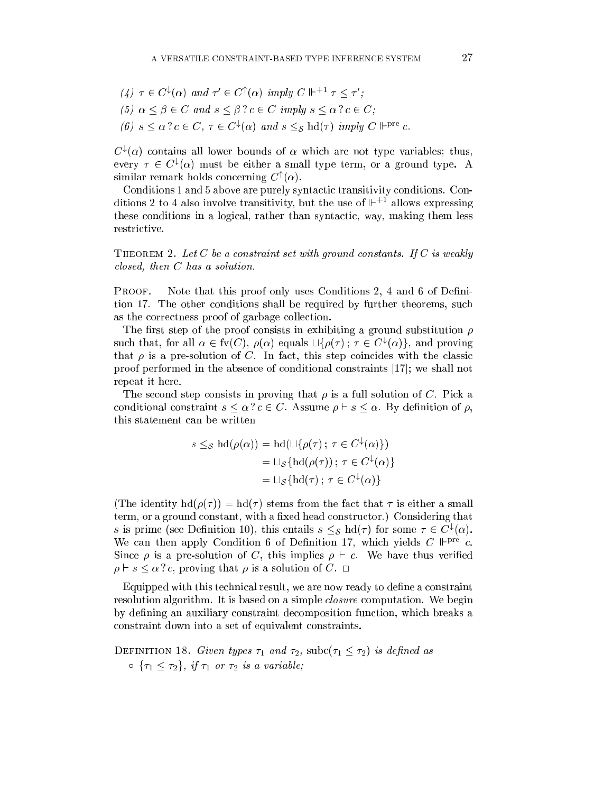\n- (4) 
$$
\tau \in C^{\downarrow}(\alpha)
$$
 and  $\tau' \in C^{\uparrow}(\alpha)$  imply  $C \Vdash^{+1} \tau \leq \tau'$ ;
\n- (5)  $\alpha \leq \beta \in C$  and  $s \leq \beta$  ?  $c \in C$  imply  $s \leq \alpha$  ?  $c \in C$ ;
\n- (6)  $s \leq \alpha$  ?  $c \in C$ ,  $\tau \in C^{\downarrow}(\alpha)$  and  $s \leq_{\mathcal{S}} \text{hd}(\tau)$  imply  $C \Vdash^{\text{pre}} c$ .
\n

 $C^{\star}(\alpha)$  contains all lower bounds of  $\alpha$  which are not type variables; thus, every  $\tau \in C^{\ast}(\alpha)$  must be either a small type term, or a ground type. A  $\sin$ ilar remark holds concerning  $C^+(\alpha)$ .

Conditions 1 and 5 above are purely syntactic transitivity conditions. Conditions 2 to 4 also involve transitivity, but the use of  $\mathbb{H}^+$  allows expressing these conditions in a logical, rather than syntactic, way, making them less restrictive.

THEOREM 2. Let  $C$  be a constraint set with ground constants. If  $C$  is weakly losed, then <sup>C</sup> has a solution.

Note that this proof only uses Conditions 2, 4 and 6 of Defini-PROOF. tion 17. The other onditions shall be required by further theorems, su
h as the orre
tness proof of garbage olle
tion.

The first step of the proof consists in exhibiting a ground substitution  $\rho$ such that, for all  $\alpha \in \text{IV}(C)$ ,  $\rho(\alpha)$  equals  $\Box \{\rho(\tau)\}\tau \in C^*(\alpha)$ . and proving that  $\rho$  is a pre-solution of C. In fact, this step coincides with the classic proof performed in the absence of conditional constraints  $[17]$ ; we shall not repeat it here.

The second step consists in proving that  $\rho$  is a full solution of C. Pick a conditional constraint  $s \leq \alpha$  ?  $c \in C$ . Assume  $\rho \vdash s \leq \alpha$ . By definition of  $\rho$ , this statement an be written

$$
s \leq_{\mathcal{S}} \mathrm{hd}(\rho(\alpha)) = \mathrm{hd}(\sqcup\{\rho(\tau)\,;\ \tau \in C^{\downarrow}(\alpha)\})
$$

$$
= \sqcup_{\mathcal{S}} \{\mathrm{hd}(\rho(\tau))\,;\ \tau \in C^{\downarrow}(\alpha)\}
$$

$$
= \sqcup_{\mathcal{S}} \{\mathrm{hd}(\tau)\,;\ \tau \in C^{\downarrow}(\alpha)\}
$$

(The identity  $hd(\rho(\tau)) = hd(\tau)$  stems from the fact that  $\tau$  is either a small term, or a ground constant, with a fixed head constructor.) Considering that s is prime (see Definition 10), this entails  $s \leq_{\mathcal{S}}$  hd( $\tau$ ) for some  $\tau \in C^*(\alpha)$ . We can then apply Condition 6 of Definition 17, which yields  $C \Vdash^{\text{pre}} c$ . Since  $\rho$  is a pre-solution of C, this implies  $\rho \vdash c$ . We have thus verified , proving that is a solution of  $\mathcal P$  , we can solve that  $\mathcal P$  are constant of  $\mathcal P$  .  $\mathcal P$ 

Equipped with this technical result, we are now ready to define a constraint resolution algorithm. It is based on a simple *closure* computation. We begin by defining an auxiliary constraint decomposition function, which breaks a onstraint down into a set of equivalent onstraints.

DEFINITION 18. Given types  $\tau_1$  and  $\tau_2$ , subc $(\tau_1 \leq \tau_2)$  is defined as  $\circ \{\tau_1 \leq \tau_2\}, \text{ if } \tau_1 \text{ or } \tau_2 \text{ is a variable};$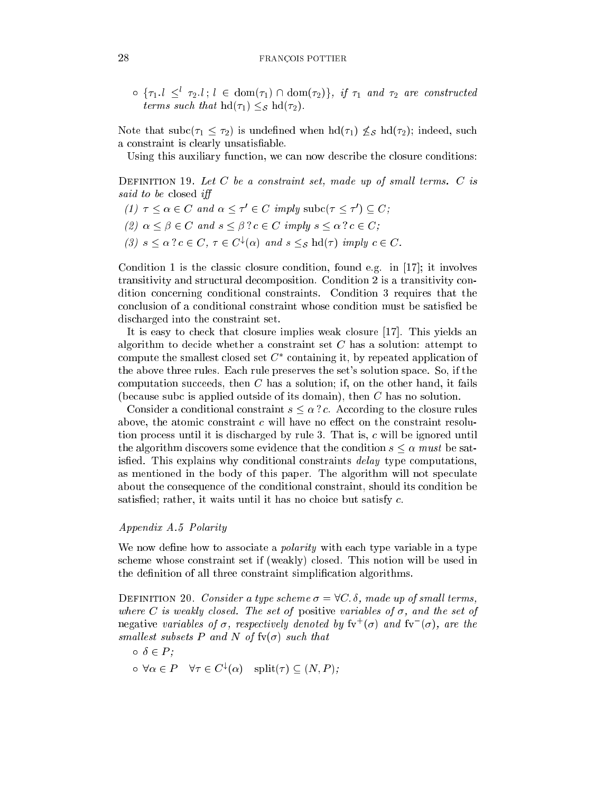$\{ \tau_1 : l \leq \tau_2 : l \in \text{dom}(\tau_1) \cup \text{dom}(\tau_2) \}, \ y \tau_1 \text{ and } \tau_2 \text{ are constructed}$ terms such that  $\text{hd}(\tau_1) \leq_{\mathcal{S}} \text{hd}(\tau_2)$ .

Note that  $\text{subc}(\tau_1 \leq \tau_2)$  is undefined when  $\text{hd}(\tau_1) \not\leq_{\mathcal{S}} \text{hd}(\tau_2)$ ; indeed, such a onstraint is learly unsatisable.

Using this auxiliary function, we can now describe the closure conditions:

DEFINITION 19. Let  $C$  be a constraint set, made up of small terms.  $C$  is said to be closed iff

- $(1)$   $\tau \leq \alpha \in C$  and  $\alpha \leq \tau \in C$  imply subc $(\tau \leq \tau) \subseteq C$ ;
- (2)  $\alpha \leq \beta \in C$  and  $s \leq \beta$  ?  $c \in C$  imply  $s \leq \alpha$  ?  $c \in C$ ;
- (3)  $s \leq \alpha : c \in C$ ,  $\tau \in C^{\infty}(\alpha)$  and  $s \leq_{S}$  ha( $\tau$ ) imply  $c \in C$ .

Condition 1 is the classic closure condition, found e.g. in  $[17]$ ; it involves transitivity and structural decomposition. Condition 2 is a transitivity condition on
erning onditional onstraints. Condition 3 requires that the conclusion of a conditional constraint whose condition must be satisfied be dis
harged into the onstraint set.

It is easy to check that closure implies weak closure [17]. This yields an algorithm to decide whether a constraint set  $C$  has a solution: attempt to compute the smallest closed set  $C$  -containing it, by repeated application of the above three rules. Ea
h rule preserves the set's solution spa
e. So, if the computation succeeds, then  $C$  has a solution; if, on the other hand, it fails (because subc is applied outside of its domain), then  $C$  has no solution.

Consider a conditional constraint  $s \leq \alpha$ ? c. According to the closure rules above, the atomic constraint  $c$  will have no effect on the constraint resolution process until it is discharged by rule 3. That is, c will be ignored until the algorithm discovers some evidence that the condition  $s \leq \alpha$  must be satisfied. This explains why conditional constraints *delay* type computations, as mentioned in the body of this paper. The algorithm will not speculate about the onsequen
e of the onditional onstraint, should its ondition be satisfied; rather, it waits until it has no choice but satisfy  $c$ .

# Appendix A.5 Polarity

We now define how to associate a *polarity* with each type variable in a type s
heme whose onstraint set if (weakly) losed. This notion will be used in the definition of all three constraint simplification algorithms.

DEFINITION 20. Consider a type scheme  $\sigma = \forall C$ .  $\delta$ , made up of small terms, where C is weakly closed. The set of positive variables of  $\sigma$ , and the set of  ${\rm n}$ egative variables of  $\sigma$ , respectively denoted by  ${\rm iv}^+ (\sigma)$  and  ${\rm iv}^- (\sigma)$ , are the smallest subsets P and N of  $f\nu(\sigma)$  such that

$$
\circ \ \delta \in P;
$$
  

$$
\circ \ \forall \alpha \in P \quad \forall \tau \in C^{\downarrow}(\alpha) \quad \text{split}(\tau) \subseteq (N, P);
$$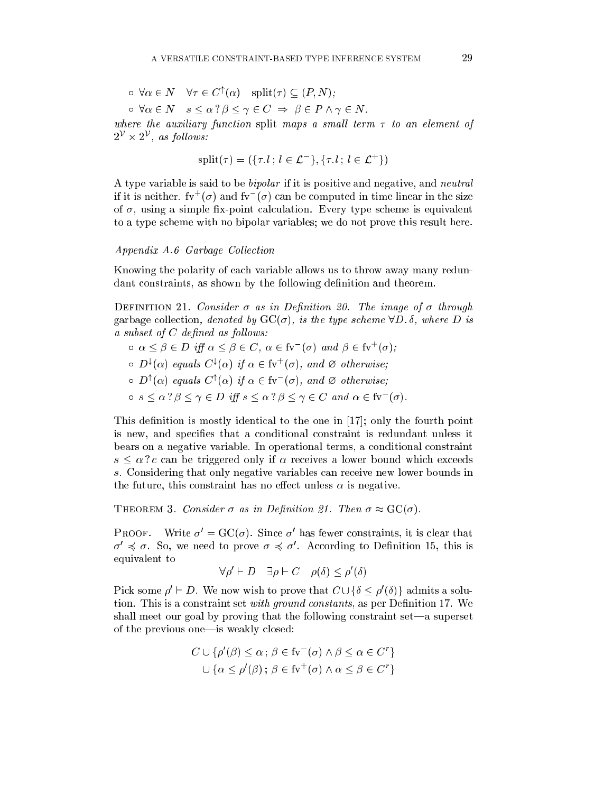$$
\circ \forall \alpha \in N \quad \forall \tau \in C^{\uparrow}(\alpha) \quad \text{split}(\tau) \subseteq (P, N);
$$

 $\circ \forall \alpha \in N \quad s \leq \alpha ? \beta \leq \gamma \in C \Rightarrow \beta \in P \land \gamma \in N.$ 

where the auxiliary function split maps a small term  $\tau$  to an element of  $2^\circ$   $\times$   $2^\circ$  , as follows:

split
$$
(\tau) = (\{\tau, l; l \in \mathcal{L}^-\}, \{\tau, l; l \in \mathcal{L}^+\})
$$

A type variable is said to be bipolar if it is positive and negative, and neutral if it is neither. Tv  $(\sigma)$  and fv  $(\sigma)$  can be computed in time linear in the size of  $\sigma$ , using a simple fix-point calculation. Every type scheme is equivalent to a type s
heme with no bipolar variables; we do not prove this result here.

#### Appendix A.6 Garbage Collection

Knowing the polarity of ea
h variable allows us to throw away many redundant constraints, as shown by the following definition and theorem.

DEFINITION 21. Consider  $\sigma$  as in Definition 20. The image of  $\sigma$  through garbage collection, denoted by  $\text{GC}(\sigma)$ , is the type scheme  $\forall D$ .  $\delta$ , where D is  $a \; subset \; of \; C \; defined \; as \; follows:$ 

- $\alpha \leq \beta \in D$  iff  $\alpha \leq \beta \in C$ ,  $\alpha \in I$ v  $(\sigma)$  and  $\beta \in I$ v  $(\sigma)$ ;
- $\circ$  D<sup>\*</sup>( $\alpha$ ) equals  $C^*(\alpha)$  if  $\alpha \in W^*(\sigma)$ , and  $\varnothing$  otherwise;
- $\circ$  D'( $\alpha$ ) equals U'( $\alpha$ ) if  $\alpha \in \text{IV}$  ( $\sigma$ ), and  $\varnothing$  otherwise;
- $\circ \; s \leq \alpha : \beta \leq \gamma \in D \; \wr \pi \; s \leq \alpha : \beta \leq \gamma \in C \; \textit{and} \; \alpha \in \mathrm{iv} \; \; (\sigma).$

This definition is mostly identical to the one in  $[17]$ ; only the fourth point is new, and specifies that a conditional constraint is redundant unless it bears on a negative variable. In operational terms, a onditional onstraint  $s \leq \alpha$  ? c can be triggered only if  $\alpha$  receives a lower bound which exceeds s. Considering that only negative variables an re
eive new lower bounds in the future, this constraint has no effect unless  $\alpha$  is negative.

THEOREM 3. Consider  $\sigma$  as in Definition 21. Then  $\sigma \approx \text{GC}(\sigma)$ .

PROOF. Write  $\sigma = G\cup (\sigma)$ . Since  $\sigma$  has lewer constraints, it is clear that  $\sigma \preccurlyeq \sigma$ . So, we need to prove  $\sigma \preccurlyeq \sigma$ . According to Demintion 15, this is equivalent to

$$
\forall \rho' \vdash D \quad \exists \rho \vdash C \quad \rho(\delta) \le \rho'(\delta)
$$

Pick some  $\rho \vdash D$ . We now wish to prove that  $C \cup \{ \theta \leq \rho(\theta) \}$  admits a solution. This is a constraint set with ground constants, as per Definition 17. We shall meet our goal by proving that the following constraint  $set$ —a superset of the previous one—is weakly closed:

$$
C \cup \{\rho'(\beta) \le \alpha \, ; \, \beta \in \text{fv}^-(\sigma) \land \beta \le \alpha \in C^r\}
$$

$$
\cup \{\alpha \le \rho'(\beta) \, ; \, \beta \in \text{fv}^+(\sigma) \land \alpha \le \beta \in C^r\}
$$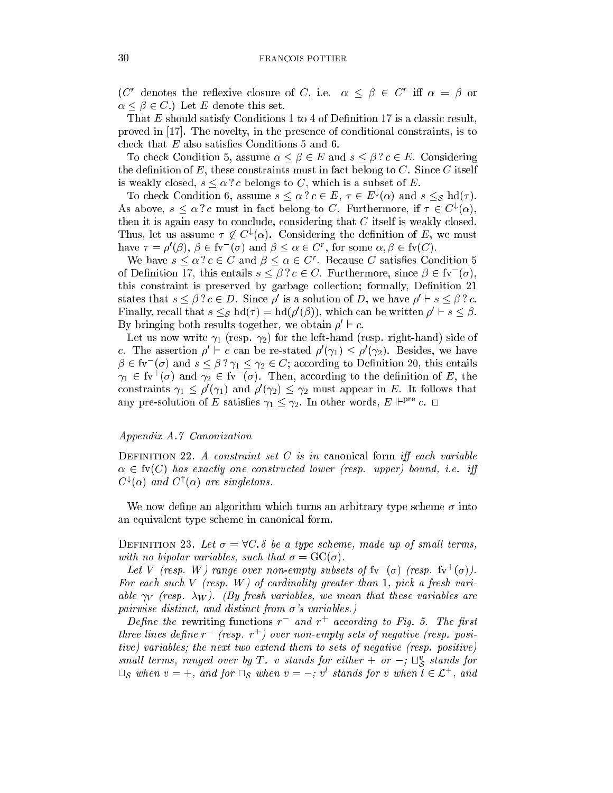(C) denotes the renexive closure of C, i.e.  $\alpha \leq \beta \in C$  in  $\alpha = \beta$  or  $\alpha \leq \beta \in C.$  Let E denote this set.

That  $E$  should satisfy Conditions 1 to 4 of Definition 17 is a classic result, proved in [17]. The novelty, in the presence of conditional constraints, is to check that  $E$  also satisfies Conditions 5 and 6.

To check Condition 5, assume  $\alpha \leq \beta \in E$  and  $s \leq \beta$  ?  $c \in E$ . Considering the definition of  $E$ , these constraints must in fact belong to  $C$ . Since  $C$  itself is weakly closed,  $s \leq \alpha ? c$  belongs to C, which is a subset of E.

To check Condition 6, assume  $s \leq \alpha : c \in E$ ,  $\tau \in E^*(\alpha)$  and  $s \leq s$  nd( $\tau$ ). As above,  $s \leq \alpha$  : c must in fact belong to U. Furthermore, if  $\tau \in U^*(\alpha)$ , then it is again easy to conclude, considering that  $C$  itself is weakly closed. I mus, let us assume  $\tau \notin C^{\ast}(\alpha)$ . Considering the definition of E, we must have  $\tau = \rho(\beta)$ ,  $\beta \in \mathbb{N}$  ( $\sigma$ ) and  $\beta \leq \alpha \in \mathbb{C}$ , for some  $\alpha, \beta \in \mathbb{N}(\mathbb{C})$ .

We have  $s \leq \alpha : c \in C$  and  $\rho \leq \alpha \in C$ . Because C satisfies Condition 5 of Definition 17, this entails  $s \leq \beta : c \in U$ . Furthermore, since  $\beta \in W$  ( $\sigma$ ), this constraint is preserved by garbage collection; formally, Definition 21 states that  $s \leq p : c \in D$ . Since p is a solution of D, we have  $p \in s \leq p : c$ . Finally, recall that  $s \leq g$  hd( $\tau$ )  $=$  hd( $\rho$  ( $\rho$ )), which can be written  $\rho \in s \leq \rho$ . By bringing both results together, we obtain  $\rho \in \mathcal{C}$ .

Let us now write  $\gamma_1$  (resp.  $\gamma_2$ ) for the left-hand (resp. right-hand) side of c. The assertion  $\rho \in c$  can be re-stated  $\rho(\gamma_1) \leq \rho(\gamma_2)$ . Desides, we have  $\rho \in \text{iv}$  (*o*) and  $s \leq \rho : \gamma_1 \leq \gamma_2 \in \text{C}$ ; according to Definition 20, this entails  $\gamma_1\,\in\,$  tv  $\,$  ( $\sigma$ ) and  $\gamma_2\,\in\,$  tv  $\,$  ( $\sigma$ ). Then, according to the definition of  $E$ , the constraints  $\gamma_1 \leq \rho$  ( $\gamma_1$ ) and  $\rho$  ( $\gamma_2$ )  $\leq \gamma_2$  must appear in E. It follows that any pre-solution of E satisfies  $\gamma_1 \leq \gamma_2$ . In other words,  $E \Vdash^{\text{pre}} c$ .  $\Box$ 

#### Appendix A.7 Canonization

DEFINITION 22. A constraint set C is in canonical form iff each variable  $\alpha \in \text{fv}(C)$  has exactly one constructed lower (resp. upper) bound, i.e. iff  $\mathcal{C}^{\prime}(\alpha)$  and  $\mathcal{C}^{\prime}(\alpha)$  are singletons.

We now define an algorithm which turns an arbitrary type scheme  $\sigma$  into an equivalent type s
heme in anoni
al form.

DEFINITION 23. Let  $\sigma = \forall C$ .  $\delta$  be a type scheme, made up of small terms, with no bipolar variables, such that  $\sigma = \mathrm{GC}(\sigma)$ .

Let V (resp. W) range over non-empty subsets of  $iv$  ( $\sigma$ ) (resp.  $iv$  ( $\sigma$ )). For each such V (resp. W) of cardinality greater than 1, pick a fresh variable  $\gamma_V$  (resp.  $\lambda_W$ ). (By fresh variables, we mean that these variables are pairwise distinct, and distinct from  $\sigma$ 's variables.)

Define the rewriting functions  $r = a n a r + a c$  *cording to Fig. 5.* The first three lines dene <sup>r</sup> (resp. <sup>r</sup><sup>+</sup> ) over non-empty sets of negative (resp. positive) variables; the next two extend them to sets of negative (resp. positive) small terms, ranged over by 1 . v stands for either  $+$  or  $-;$   $\sqcup_{\mathcal{S}}$  stands for  $\sqcup_{\mathcal{S}}$  when  $v = +$ , and for  $\sqcup_{\mathcal{S}}$  when  $v = -$ ; v stands for v when  $\iota \in \mathcal{L}$  , and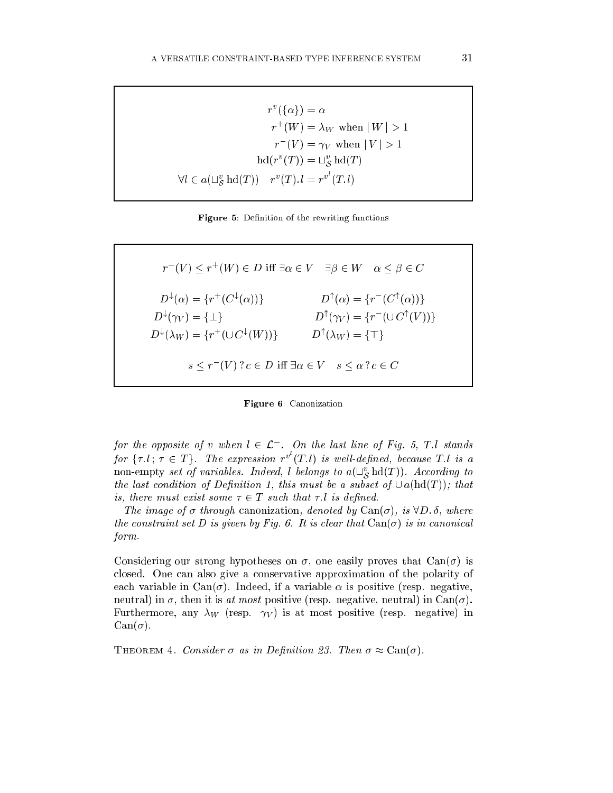$$
r^{v}(\{\alpha\}) = \alpha
$$
  
\n
$$
r^{+}(W) = \lambda_{W} \text{ when } |W| > 1
$$
  
\n
$$
r^{-}(V) = \gamma_{V} \text{ when } |V| > 1
$$
  
\n
$$
\text{hd}(r^{v}(T)) = \sqcup_{\mathcal{S}}^{v} \text{hd}(T)
$$
  
\n
$$
\forall l \in a(\sqcup_{\mathcal{S}}^{v} \text{hd}(T)) \quad r^{v}(T). l = r^{v^{l}}(T.l)
$$

Figure 5: Definition of the rewriting functions

 $r$  (V)  $\leq$   $r$  (W)  $\in$   $D$  In  $\exists \alpha \in$   $V$   $\exists \beta \in$   $W$   $\alpha$   $\leq$   $\beta$   $\in$   $C$  $D^{\ast}(\alpha) = \{r \mid (C^{\ast}(\alpha))\}$   $D^{\ast}(\alpha) = \{r \mid (C^{\ast}(\alpha))\}$  $D^{\alpha}(\gamma_V) = \{\perp\}$   $D^{\alpha}(\gamma_V) = \{r \mid (\cup C^{\alpha}(V))\}$  $D^*(\lambda_W) = \{f \mid (\cup C^*(W))\}$   $D^*(\lambda_W) = \{ + \}$  $s \leq r \quad (V) : c \in D$  in  $\exists \alpha \in V \quad s \leq \alpha : c \in C$ 

Figure 6: Canonization

for the opposite of v when  $t \in \mathcal{L}$  . On the last line of Fig. 5, I.1 stands for  $\{\tau, l\,;\, \tau \in T\}$ . The expression  $r^v(T, l)$  is well-defined, because T.l is a non-empty set of variables. Indeed, t belongs to  $a(\sqcup_{\mathcal{S}}{\rm na}(1$  )). According to the last condition of Definition 1, this must be a subset of  $\cup a(\text{hd}(T))$ ; that is, there must exist some  $\tau \in T$  such that  $\tau$ . l is defined.

The image of  $\sigma$  through canonization, denoted by  $\text{Can}(\sigma)$ , is  $\forall D. \delta$ , where the constraint set D is given by Fig. 6. It is clear that  $Can(\sigma)$  is in canonical form.

Considering our strong hypotheses on  $\sigma$ , one easily proves that  $Can(\sigma)$  is closed. One can also give a conservative approximation of the polarity of each variable in Can $(\sigma)$ . Indeed, if a variable  $\alpha$  is positive (resp. negative, neutral) in  $\sigma$ , then it is at most positive (resp. negative, neutral) in Can( $\sigma$ ). Furthermore, any  $\lambda_W$  (resp.  $\gamma_V$ ) is at most positive (resp. negative) in  $Can(\sigma).$ 

THEOREM 4. Consider  $\sigma$  as in Definition 23. Then  $\sigma \approx \text{Can}(\sigma)$ .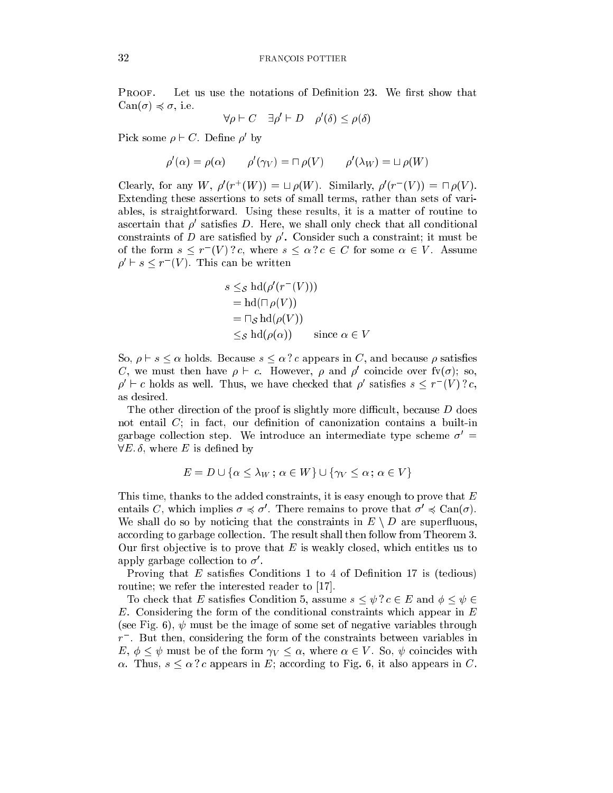PROOF. Let us use the notations of Definition 23. We first show that  $Can(\sigma) \preccurlyeq \sigma$ , i.e.

$$
\forall \rho \vdash C \quad \exists \rho' \vdash D \quad \rho'(\delta) \le \rho(\delta)
$$

Pick some  $\rho \vdash C$ . Denne  $\rho$  by

$$
\rho'(\alpha) = \rho(\alpha) \qquad \rho'(\gamma_V) = \Box \rho(V) \qquad \rho'(\lambda_W) = \Box \rho(W)
$$

Clearly, for any  $W, \rho$  (r (W))  $= \Box \rho(W)$ . Similarly,  $\rho(r - (V)) = \Box \rho(V)$ . Extending these assertions to sets of small terms, rather than sets of variables, is straightforward. Using these results, it is a matter of routine to ascertain that  $\rho$  satisfies  $D.$  Here, we shall only check that all conditional constraints of  $D$  are satisfied by  $\rho$ . Consider such a constraint; it must be of the form  $s \leq r$  (*V*): c, where  $s \leq \alpha$ :  $c \in C$  for some  $\alpha \in V$ . Assume  $\rho \vdash s \leq r \ \ (V \).$  This can be written

$$
s \leq_{\mathcal{S}} \mathrm{hd}(\rho'(r^-(V)))
$$
  
=  $\mathrm{hd}(\Box \rho(V))$   
=  $\Box_{\mathcal{S}} \mathrm{hd}(\rho(V))$   
 $\leq_{\mathcal{S}} \mathrm{hd}(\rho(\alpha))$  since  $\alpha \in V$ 

So,  $\rho \vdash s \leq \alpha$  holds. Because  $s \leq \alpha$  ? c appears in C, and because  $\rho$  satisfies  $\mathcal{C}$ , we must then have  $\rho \vdash c$ . However,  $\rho$  and  $\rho$  concide over  $\Gamma(\sigma)$ ; so,  $\rho \in \mathcal{C}$  holds as well. Thus, we have checked that  $\rho$  satisfies  $s \leq r \leq \nu$  i.e. as desired.

The other direction of the proof is slightly more difficult, because  $D$  does not entail  $C$ ; in fact, our definition of canonization contains a built-in garbage collection step. We introduce an intermediate type scheme  $\sigma' =$  $\forall E$ .  $\delta$ , where E is defined by

$$
E = D \cup \{ \alpha \le \lambda_W \, ; \, \alpha \in W \} \cup \{ \gamma_V \le \alpha \, ; \, \alpha \in V \}
$$

This time, thanks to the added constraints, it is easy enough to prove that E entails C, which implies  $\sigma \preccurlyeq \sigma$  . There remains to prove that  $\sigma \preccurlyeq \text{Can}(\sigma)$ . We shall do so by noticing that the constraints in  $E \setminus D$  are superfluous, according to garbage collection. The result shall then follow from Theorem 3. Our first objective is to prove that  $E$  is weakly closed, which entitles us to apply garbage collection to  $\sigma$  .

Proving that  $E$  satisfies Conditions 1 to 4 of Definition 17 is (tedious) routine; we refer the interested reader to  $[17]$ .

To check that E satisfies Condition 5, assume  $s \leq \psi$  ?  $c \in E$  and  $\phi \leq \psi \in E$ E. Considering the form of the onditional onstraints whi
h appear in <sup>E</sup> (see Fig. 6),  $\psi$  must be the image of some set of negative variables through  $r$  . But then, considering the form of the constraints between variables in E,  $\phi \leq \psi$  must be of the form  $\gamma_V \leq \alpha$ , where  $\alpha \in V$ . So,  $\psi$  coincides with  $\alpha$ . Thus,  $s \leq \alpha$  ? c appears in E; according to Fig. 6, it also appears in C.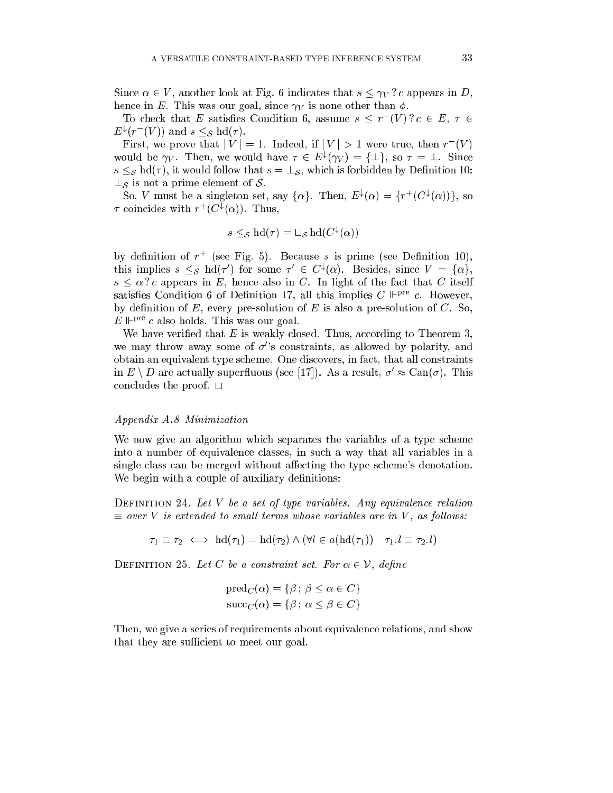Since  $\alpha \in V$ , another look at Fig. 6 indicates that  $s \leq \gamma_V ? c$  appears in D, hence in E. This was our goal, since  $\gamma_V$  is none other than  $\phi$ .

To check that E satisfies Condition 6, assume  $s \leq r + v + c \in E$ ,  $\tau \in$  $E^*(T^*(V))$  and  $s \leq_S \text{na}(T)$ .

First, we prove that  $|V| = 1$ . Indeed, if  $|V| > 1$  were true, then  $r - (V)$ would be  $\gamma_V$ . Then, we would have  $\tau \in E^*(\gamma_V) = \{\pm\}$ , so  $\tau = \pm$ . Since  $s \leq_{\mathcal{S}}$  hd( $\tau$ ), it would follow that  $s = \perp_{\mathcal{S}}$ , which is forbidden by Definition 10:  $\perp_S$  is not a prime element of S.

So, v must be a singleton set, say  $\{\alpha\}$ . Then,  $E^*(\alpha) = \{T^*(C^*(\alpha))\}$ , so  $\tau$  coincides with  $r_+(\cup^*(\alpha))$ . Thus,

$$
s \leq_{\mathcal{S}} \text{hd}(\tau) = \sqcup_{\mathcal{S}} \text{hd}(C^{\downarrow}(\alpha))
$$

by definition of  $r$  (see Fig. 5). Decause s is prime (see Definition 10), this implies  $s \leq_{\mathcal{S}}$  hd( $\tau$ ) for some  $\tau \in C^{\star}(\alpha)$ . Besides, since  $V = {\alpha \brace \alpha}$ ,  $s \leq \alpha$  ? c appears in E, hence also in C. In light of the fact that C itself satisfies Condition 6 of Definition 17, all this implies C  $\mathbb{P}^{\text{pre}}$  c. However, by definition of  $E$ , every pre-solution of  $E$  is also a pre-solution of  $C$ . So,  $E \Vdash^{\text{pre}} c$  also holds. This was our goal.

We have verified that  $E$  is weakly closed. Thus, according to Theorem 3, we may throw away some of  $\sigma$ 's constraints, as allowed by polarity, and obtain an equivalent type s
heme. One dis
overs, in fa
t, that all onstraints in  $E \setminus D$  are actually superfluous (see [17]). As a result,  $\sigma' \approx \text{Can}(\sigma)$ . This on
ludes the proof. <sup>2</sup>

#### Appendix A.8 Minimization

We now give an algorithm which separates the variables of a type scheme into a number of equivalen
e lasses, in su
h a way that all variables in a single class can be merged without affecting the type scheme's denotation. We begin with a couple of auxiliary definitions:

DEFINITION 24. Let  $V$  be a set of type variables. Any equivalence relation  $\equiv$  over V is extended to small terms whose variables are in V, as follows:

$$
\tau_1 \equiv \tau_2 \iff \mathrm{hd}(\tau_1) = \mathrm{hd}(\tau_2) \land (\forall l \in a(\mathrm{hd}(\tau_1)) \quad \tau_1.l \equiv \tau_2.l)
$$

DEFINITION 25. Let C be a constraint set. For  $\alpha \in \mathcal{V}$ , define

$$
\text{pred}_C(\alpha) = \{ \beta \, ; \, \beta \le \alpha \in C \}
$$

$$
\text{succ}_C(\alpha) = \{ \beta \, ; \, \alpha \le \beta \in C \}
$$

Then, we give a series of requirements about equivalen
e relations, and show that they are sufficient to meet our goal.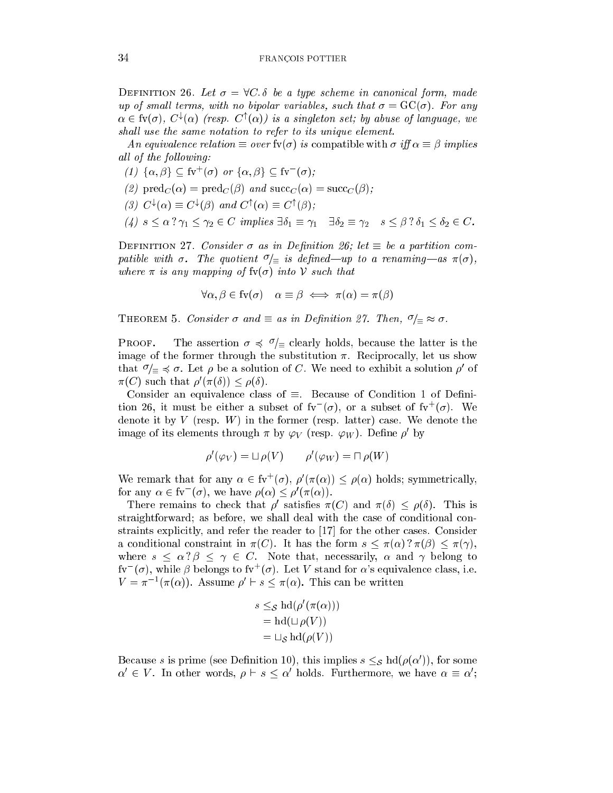DEFINITION 26. Let  $\sigma = \forall C$ .  $\delta$  be a type scheme in canonical form, made up of small terms, with no bipolar variables, such that  $\sigma = \mathrm{GC}(\sigma)$ . For any  $\alpha \in$  1 $\alpha$ , C  $\alpha$ , C  $\alpha$  (resp. C  $\alpha$ ) is a singleton set; by abuse of language, we shall use the same notation to refer to its unique element.

An equivalence relation  $\equiv$  over fv( $\sigma$ ) is compatible with  $\sigma$  iff  $\alpha \equiv \beta$  implies all of the following:

- $(1)$   $\{\alpha, \beta\} \subseteq W$   $(\sigma)$  or  $\{\alpha, \beta\} \subseteq W$   $(\sigma)$ ;
- (2)  $\text{pred}_C(\alpha) = \text{pred}_C(\beta)$  and  $\text{succ}_C(\alpha) = \text{succ}_C(\beta)$ :
- (3)  $C^{\dagger}(\alpha) = C^{\dagger}(\beta)$  and  $C^{\dagger}(\alpha) = C^{\dagger}(\beta)$ ;
- (4)  $s \leq \alpha$  ?  $\gamma_1 \leq \gamma_2 \in C$  implies  $\exists \delta_1 \equiv \gamma_1$   $\exists \delta_2 \equiv \gamma_2$   $s \leq \beta$  ?  $\delta_1 \leq \delta_2 \in C$ .

DEFINITION 27. Consider  $\sigma$  as in Definition 26; let  $\equiv$  be a partition compatible with  $\sigma$ . The quotient  $\sigma/\equiv$  is defined—up to a renaming—as  $\pi(\sigma)$ , where  $\pi$  is any mapping of  $f\nu(\sigma)$  into V such that

$$
\forall \alpha, \beta \in \text{fv}(\sigma) \quad \alpha \equiv \beta \iff \pi(\alpha) = \pi(\beta)
$$

THEOREM 5. Consider  $\sigma$  and  $\equiv$  as in Definition 27. Then,  $\sigma/\equiv \approx \sigma$ .

**PROOF.** The assertion  $\sigma \preccurlyeq \sigma/\equiv$  clearly holds, because the latter is the image of the former through the substitution  $\pi$ . Reciprocally, let us show that  $\psi \equiv 0$ . Let  $\rho$  be a solution of C. We need to exhibit a solution  $\rho$  of  $\pi(U)$  such that  $\rho(\pi(0)) \leq \rho(0)$ .

Consider an equivalence class of  $\equiv$ . Because of Condition 1 of Definition 20, it must be either a subset of  ${\rm iv}^-(\sigma)$ , or a subset of  ${\rm iv}^-(\sigma)$ . We denote it by V (resp. W) in the former (resp. latter) case. We denote the image of its elements through  $\pi$  by  $\varphi_V$  (resp.  $\varphi_W$ ). Define  $\rho$  by

$$
\rho'(\varphi_V) = \Box \, \rho(V) \qquad \rho'(\varphi_W) = \Box \, \rho(W)
$$

We remark that for any  $\alpha \in W^+(\sigma)$ ,  $\rho(\pi(\alpha)) \leq \rho(\alpha)$  holds; symmetrically, for any  $\alpha \in \mathfrak{v}$  ( $\sigma$ ), we have  $\rho(\alpha) \leq \rho(\pi(\alpha))$ .

There remains to check that  $\rho$  satisfies  $\pi(C)$  and  $\pi(\theta) \leq \rho(\theta)$ . This is straightforward; as before, we shall deal with the case of conditional constraints explicitly, and refer the reader to  $\left[17\right]$  for the other cases. Consider a conditional constraint in  $\pi(C)$ . It has the form  $s \leq \pi(\alpha)$  ?  $\pi(\beta) \leq \pi(\gamma)$ , where  $s \leq \alpha? \beta \leq \gamma \in C$ . Note that, necessarily,  $\alpha$  and  $\gamma$  belong to fy<sup> $\sigma$ </sup>( $\sigma$ ), while  $\beta$  belongs to fy<sup>+</sup>( $\sigma$ ). Let V stand for  $\alpha$ 's equivalence class, i.e.  $V = \pi^{-1}(\pi(\alpha))$ . Assume  $\rho \in S \setminus \pi(\alpha)$ . This can be written

$$
s \leq_{\mathcal{S}} \mathrm{hd}(\rho'(\pi(\alpha)))
$$
  
=  $\mathrm{hd}(\sqcup \rho(V))$   
=  $\sqcup_{\mathcal{S}} \mathrm{hd}(\rho(V))$ 

Because s is prime (see Definition 10), this implies  $s \leq s$  hd( $\rho(\alpha)$ ), for some  $\alpha \in V$ . In other words,  $\rho \sqsubset s \smallsetminus \alpha$  holds. Furthermore, we have  $\alpha = \alpha$ ;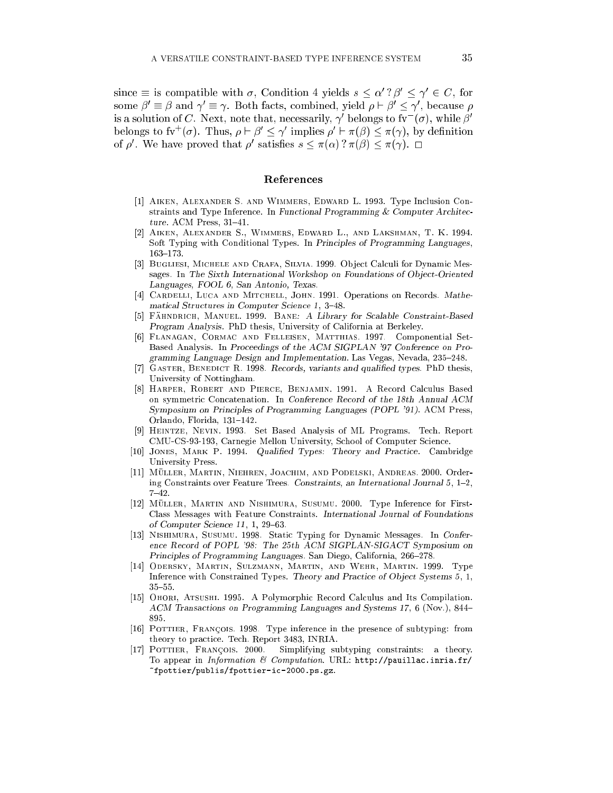since  $\equiv$  is compatible with  $\sigma$ , Condition 4 yields  $s \sim \alpha$  (  $\rho \sim \gamma \in U$ , for some  $\rho = \rho$  and  $\gamma = \gamma$ . Down facts, combined, yield  $\rho \cap \rho \leq \gamma$ , because  $\rho$ is a solution of  $C$ . Next, note that, necessarily,  $\gamma$  -pelongs to fy  $(\sigma)$ , while  $D$  belongs to IV ( $\sigma$ ). Thus,  $\rho \vdash \rho \leq \gamma$  implies  $\rho \vdash \pi(\rho) \leq \pi(\gamma)$ , by definition of  $\rho$ . We have proved that  $\rho$  satisfies  $s \leq \pi(\alpha)$  (  $\pi(\rho) \leq \pi(\gamma)$ ).  $\Box$ 

#### Referen
es

- [1] AIKEN, ALEXANDER S. AND WIMMERS, EDWARD L. 1993. Type Inclusion Constraints and Type Inference. In Functional Programming & Computer Architecture. ACM Press,  $31-41$ .
- [2] AIKEN, ALEXANDER S., WIMMERS, EDWARD L., AND LAKSHMAN, T. K. 1994. Soft Typing with Conditional Types. In Principles of Programming Languages,  $163 - 173.$
- [3] BUGLIESI, MICHELE AND CRAFA, SILVIA. 1999. Object Calculi for Dynamic Messages. In The Sixth International Workshop on Foundations of Object-Oriented Languages, FOOL 6, San Antonio, Texas.
- [4] CARDELLI, LUCA AND MITCHELL, JOHN. 1991. Operations on Records. Mathematical Structures in Computer Science 1, 3-48.
- [5] FÄHNDRICH, MANUEL. 1999. BANE: A Library for Scalable Constraint-Based Program Analysis. PhD thesis, University of California at Berkeley.
- [6] FLANAGAN, CORMAC AND FELLEISEN, MATTHIAS. 1997. Componential Set-Based Analysis. In Pro
eedings of the ACM SIGPLAN '97 Conferen
e on Programming Language Design and Implementation. Las Vegas, Nevada, 235-248.
- [7] GASTER, BENEDICT R. 1998. Records, variants and qualified types. PhD thesis, University of Nottingham.
- [8] HARPER, ROBERT AND PIERCE, BENJAMIN. 1991. A Record Calculus Based on symmetri Con
atenation. In Conferen
e Re
ord of the 18th Annual ACM Symposium on Principles of Programming Languages (POPL '91). ACM Press, Orlando, Florida, 131-142.
- [9] HEINTZE, NEVIN. 1993. Set Based Analysis of ML Programs. Tech. Report CMU-CS-93-193, Carnegie Mellon University, S
hool of Computer S
ien
e.
- [10] JONES, MARK P. 1994. Qualified Types: Theory and Practice. Cambridge University Press.
- [11] MÜLLER, MARTIN, NIEHREN, JOACHIM, AND PODELSKI, ANDREAS. 2000. Ordering Constraints over Feature Trees. Constraints, an International Journal  $5, 1-2,$  $7 - 42$ .
- [12] MÜLLER, MARTIN AND NISHIMURA, SUSUMU. 2000. Type Inference for First-Class Messages with Feature Constraints. International Journal of Foundations of Computer Science  $11, 1, 29-63$ .
- [13] NISHIMURA, SUSUMU. 1998. Static Typing for Dynamic Messages. In Conference Record of POPL '98: The 25th ACM SIGPLAN-SIGACT Symposium on Principles of Programming Languages. San Diego, California, 266-278.
- [14] ODERSKY, MARTIN, SULZMANN, MARTIN, AND WEHR, MARTIN. 1999. Type Inference with Constrained Types. Theory and Practice of Object Systems 5, 1,  $35 - 55$
- [15] OHORI, ATSUSHI. 1995. A Polymorphic Record Calculus and Its Compilation. ACM Transactions on Programming Languages and Systems 17, 6 (Nov.), 844– 895.
- [16] POTTIER, FRANÇOIS. 1998. Type inference in the presence of subtyping: from theory to pra
ti
e. Te
h. Report 3483, INRIA.
- [17] POTTIER, FRANÇOIS. 2000. Simplifying subtyping constraints: a theory. To appear in Information & Computation. URL: http://pauillac.inria.fr/ ~fpottier/publis/fpottier-i
-2000.ps.gz.